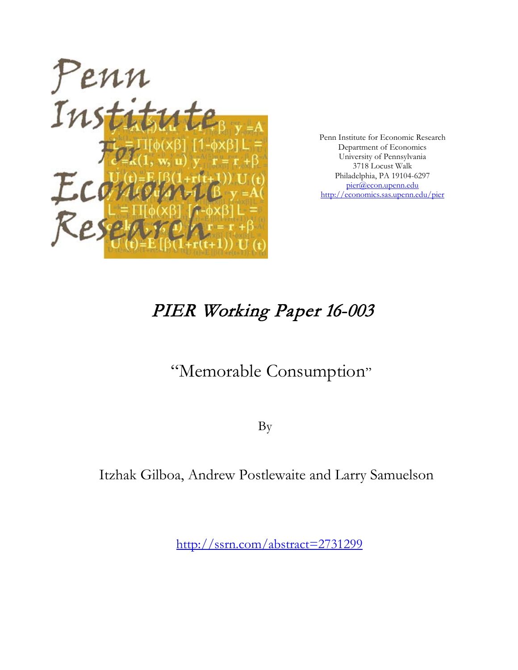

Penn Institute for Economic Research Department of Economics University of Pennsylvania 3718 Locust Walk Philadelphia, PA 19104-6297 [pier@econ.upenn.edu](mailto:pier@econ.upenn.edu) <http://economics.sas.upenn.edu/pier>

# PIER Working Paper 16-003

## "Memorable Consumption"

By

Itzhak Gilboa, Andrew Postlewaite and Larry Samuelson

<http://ssrn.com/abstract=2731299>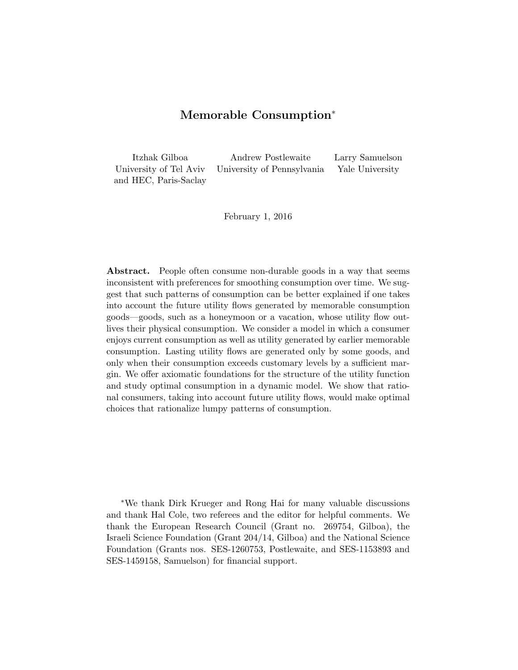## Memorable Consumption<sup>∗</sup>

| Itzhak Gilboa         | Andrew Postlewaite                                | Larry Samuelson |
|-----------------------|---------------------------------------------------|-----------------|
|                       | University of Tel Aviv University of Pennsylvania | Yale University |
| and HEC, Paris-Saclay |                                                   |                 |

February 1, 2016

Abstract. People often consume non-durable goods in a way that seems inconsistent with preferences for smoothing consumption over time. We suggest that such patterns of consumption can be better explained if one takes into account the future utility flows generated by memorable consumption goods—goods, such as a honeymoon or a vacation, whose utility flow outlives their physical consumption. We consider a model in which a consumer enjoys current consumption as well as utility generated by earlier memorable consumption. Lasting utility flows are generated only by some goods, and only when their consumption exceeds customary levels by a sufficient margin. We offer axiomatic foundations for the structure of the utility function and study optimal consumption in a dynamic model. We show that rational consumers, taking into account future utility flows, would make optimal choices that rationalize lumpy patterns of consumption.

<sup>∗</sup>We thank Dirk Krueger and Rong Hai for many valuable discussions and thank Hal Cole, two referees and the editor for helpful comments. We thank the European Research Council (Grant no. 269754, Gilboa), the Israeli Science Foundation (Grant 204/14, Gilboa) and the National Science Foundation (Grants nos. SES-1260753, Postlewaite, and SES-1153893 and SES-1459158, Samuelson) for financial support.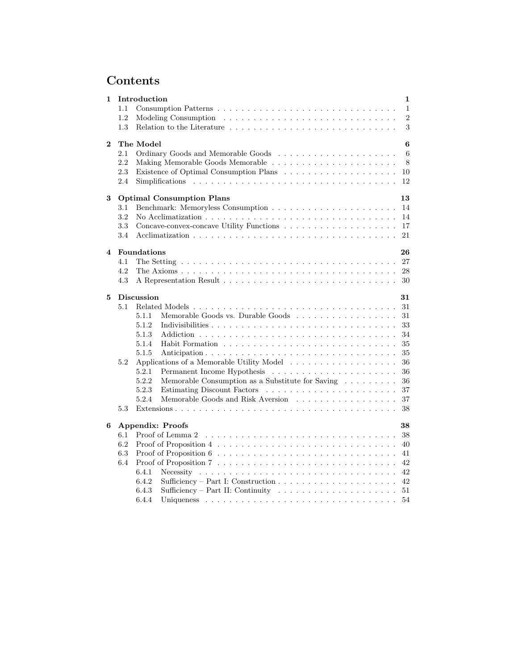## Contents

| 1.1<br>1.2<br>1.3<br>The Model<br>$\bf{2}$<br>2.1<br>2.2<br>2.3<br>$2.4\,$<br><b>Optimal Consumption Plans</b><br>3<br>3.1<br>3.2<br>3.3<br>3.4<br>Foundations<br>4<br>4.1<br>4.2<br>4.3<br><b>Discussion</b><br>5<br>5.1<br>Memorable Goods vs. Durable Goods<br>5.1.1<br>5.1.2<br>5.1.3<br>5.1.4<br>5.1.5<br>5.2<br>5.2.1<br>5.2.2<br>Memorable Consumption as a Substitute for Saving $\dots \dots$<br>5.2.3<br>Memorable Goods and Risk Aversion<br>5.2.4<br>5.3 | $\mathbf 1$    |  |  |  |  |  |  |  |  |  |  |  |  | Introduction | $\mathbf{1}$ |
|----------------------------------------------------------------------------------------------------------------------------------------------------------------------------------------------------------------------------------------------------------------------------------------------------------------------------------------------------------------------------------------------------------------------------------------------------------------------|----------------|--|--|--|--|--|--|--|--|--|--|--|--|--------------|--------------|
|                                                                                                                                                                                                                                                                                                                                                                                                                                                                      | $\mathbf{1}$   |  |  |  |  |  |  |  |  |  |  |  |  |              |              |
|                                                                                                                                                                                                                                                                                                                                                                                                                                                                      | $\overline{2}$ |  |  |  |  |  |  |  |  |  |  |  |  |              |              |
|                                                                                                                                                                                                                                                                                                                                                                                                                                                                      | 3              |  |  |  |  |  |  |  |  |  |  |  |  |              |              |
|                                                                                                                                                                                                                                                                                                                                                                                                                                                                      |                |  |  |  |  |  |  |  |  |  |  |  |  |              |              |
|                                                                                                                                                                                                                                                                                                                                                                                                                                                                      | 6              |  |  |  |  |  |  |  |  |  |  |  |  |              |              |
|                                                                                                                                                                                                                                                                                                                                                                                                                                                                      | 6              |  |  |  |  |  |  |  |  |  |  |  |  |              |              |
|                                                                                                                                                                                                                                                                                                                                                                                                                                                                      | 8              |  |  |  |  |  |  |  |  |  |  |  |  |              |              |
|                                                                                                                                                                                                                                                                                                                                                                                                                                                                      | 10             |  |  |  |  |  |  |  |  |  |  |  |  |              |              |
|                                                                                                                                                                                                                                                                                                                                                                                                                                                                      | 12             |  |  |  |  |  |  |  |  |  |  |  |  |              |              |
|                                                                                                                                                                                                                                                                                                                                                                                                                                                                      | 13             |  |  |  |  |  |  |  |  |  |  |  |  |              |              |
|                                                                                                                                                                                                                                                                                                                                                                                                                                                                      | 14             |  |  |  |  |  |  |  |  |  |  |  |  |              |              |
|                                                                                                                                                                                                                                                                                                                                                                                                                                                                      | 14             |  |  |  |  |  |  |  |  |  |  |  |  |              |              |
|                                                                                                                                                                                                                                                                                                                                                                                                                                                                      | 17             |  |  |  |  |  |  |  |  |  |  |  |  |              |              |
|                                                                                                                                                                                                                                                                                                                                                                                                                                                                      | 21             |  |  |  |  |  |  |  |  |  |  |  |  |              |              |
|                                                                                                                                                                                                                                                                                                                                                                                                                                                                      |                |  |  |  |  |  |  |  |  |  |  |  |  |              |              |
|                                                                                                                                                                                                                                                                                                                                                                                                                                                                      | 26             |  |  |  |  |  |  |  |  |  |  |  |  |              |              |
|                                                                                                                                                                                                                                                                                                                                                                                                                                                                      | 27             |  |  |  |  |  |  |  |  |  |  |  |  |              |              |
|                                                                                                                                                                                                                                                                                                                                                                                                                                                                      | 28             |  |  |  |  |  |  |  |  |  |  |  |  |              |              |
|                                                                                                                                                                                                                                                                                                                                                                                                                                                                      | 30             |  |  |  |  |  |  |  |  |  |  |  |  |              |              |
|                                                                                                                                                                                                                                                                                                                                                                                                                                                                      |                |  |  |  |  |  |  |  |  |  |  |  |  |              |              |
|                                                                                                                                                                                                                                                                                                                                                                                                                                                                      | 31             |  |  |  |  |  |  |  |  |  |  |  |  |              |              |
|                                                                                                                                                                                                                                                                                                                                                                                                                                                                      | 31             |  |  |  |  |  |  |  |  |  |  |  |  |              |              |
|                                                                                                                                                                                                                                                                                                                                                                                                                                                                      | 31             |  |  |  |  |  |  |  |  |  |  |  |  |              |              |
|                                                                                                                                                                                                                                                                                                                                                                                                                                                                      | 33             |  |  |  |  |  |  |  |  |  |  |  |  |              |              |
|                                                                                                                                                                                                                                                                                                                                                                                                                                                                      | 34             |  |  |  |  |  |  |  |  |  |  |  |  |              |              |
|                                                                                                                                                                                                                                                                                                                                                                                                                                                                      | 35             |  |  |  |  |  |  |  |  |  |  |  |  |              |              |
|                                                                                                                                                                                                                                                                                                                                                                                                                                                                      | 35             |  |  |  |  |  |  |  |  |  |  |  |  |              |              |
|                                                                                                                                                                                                                                                                                                                                                                                                                                                                      | 36             |  |  |  |  |  |  |  |  |  |  |  |  |              |              |
|                                                                                                                                                                                                                                                                                                                                                                                                                                                                      | 36             |  |  |  |  |  |  |  |  |  |  |  |  |              |              |
|                                                                                                                                                                                                                                                                                                                                                                                                                                                                      | 36             |  |  |  |  |  |  |  |  |  |  |  |  |              |              |
|                                                                                                                                                                                                                                                                                                                                                                                                                                                                      | 37             |  |  |  |  |  |  |  |  |  |  |  |  |              |              |
|                                                                                                                                                                                                                                                                                                                                                                                                                                                                      | 37             |  |  |  |  |  |  |  |  |  |  |  |  |              |              |
|                                                                                                                                                                                                                                                                                                                                                                                                                                                                      | 38             |  |  |  |  |  |  |  |  |  |  |  |  |              |              |
| <b>Appendix: Proofs</b><br>6                                                                                                                                                                                                                                                                                                                                                                                                                                         | 38             |  |  |  |  |  |  |  |  |  |  |  |  |              |              |
| 6.1<br>Proof of Lemma 2                                                                                                                                                                                                                                                                                                                                                                                                                                              | 38             |  |  |  |  |  |  |  |  |  |  |  |  |              |              |
| 6.2                                                                                                                                                                                                                                                                                                                                                                                                                                                                  | 40             |  |  |  |  |  |  |  |  |  |  |  |  |              |              |
| 6.3                                                                                                                                                                                                                                                                                                                                                                                                                                                                  | 41             |  |  |  |  |  |  |  |  |  |  |  |  |              |              |
| 6.4                                                                                                                                                                                                                                                                                                                                                                                                                                                                  | 42             |  |  |  |  |  |  |  |  |  |  |  |  |              |              |
| 6.4.1<br>Necessity                                                                                                                                                                                                                                                                                                                                                                                                                                                   | 42             |  |  |  |  |  |  |  |  |  |  |  |  |              |              |
| 6.4.2<br>Sufficiency – Part I: Construction $\dots \dots \dots \dots \dots \dots \dots$                                                                                                                                                                                                                                                                                                                                                                              | 42             |  |  |  |  |  |  |  |  |  |  |  |  |              |              |
| 6.4.3<br>Sufficiency – Part II: Continuity $\ldots \ldots \ldots \ldots \ldots \ldots$                                                                                                                                                                                                                                                                                                                                                                               | 51             |  |  |  |  |  |  |  |  |  |  |  |  |              |              |
| 6.4.4                                                                                                                                                                                                                                                                                                                                                                                                                                                                | 54             |  |  |  |  |  |  |  |  |  |  |  |  |              |              |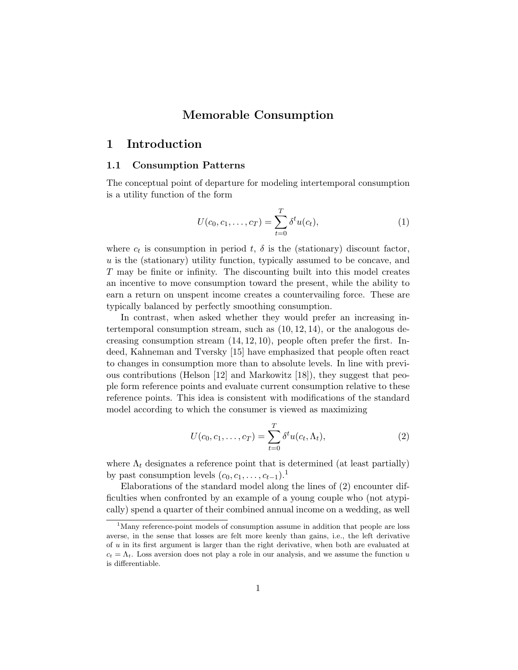## Memorable Consumption

## 1 Introduction

## 1.1 Consumption Patterns

The conceptual point of departure for modeling intertemporal consumption is a utility function of the form

$$
U(c_0, c_1, \dots, c_T) = \sum_{t=0}^{T} \delta^t u(c_t),
$$
\n(1)

where  $c_t$  is consumption in period  $t$ ,  $\delta$  is the (stationary) discount factor,  $u$  is the (stationary) utility function, typically assumed to be concave, and T may be finite or infinity. The discounting built into this model creates an incentive to move consumption toward the present, while the ability to earn a return on unspent income creates a countervailing force. These are typically balanced by perfectly smoothing consumption.

In contrast, when asked whether they would prefer an increasing intertemporal consumption stream, such as (10, 12, 14), or the analogous decreasing consumption stream  $(14, 12, 10)$ , people often prefer the first. Indeed, Kahneman and Tversky [15] have emphasized that people often react to changes in consumption more than to absolute levels. In line with previous contributions (Helson [12] and Markowitz [18]), they suggest that people form reference points and evaluate current consumption relative to these reference points. This idea is consistent with modifications of the standard model according to which the consumer is viewed as maximizing

$$
U(c_0, c_1, \dots, c_T) = \sum_{t=0}^{T} \delta^t u(c_t, \Lambda_t),
$$
\n(2)

where  $\Lambda_t$  designates a reference point that is determined (at least partially) by past consumption levels  $(c_0, c_1, \ldots, c_{t-1})$ .<sup>1</sup>

Elaborations of the standard model along the lines of (2) encounter difficulties when confronted by an example of a young couple who (not atypically) spend a quarter of their combined annual income on a wedding, as well

<sup>&</sup>lt;sup>1</sup>Many reference-point models of consumption assume in addition that people are loss averse, in the sense that losses are felt more keenly than gains, i.e., the left derivative of u in its first argument is larger than the right derivative, when both are evaluated at  $c_t = \Lambda_t$ . Loss aversion does not play a role in our analysis, and we assume the function u is differentiable.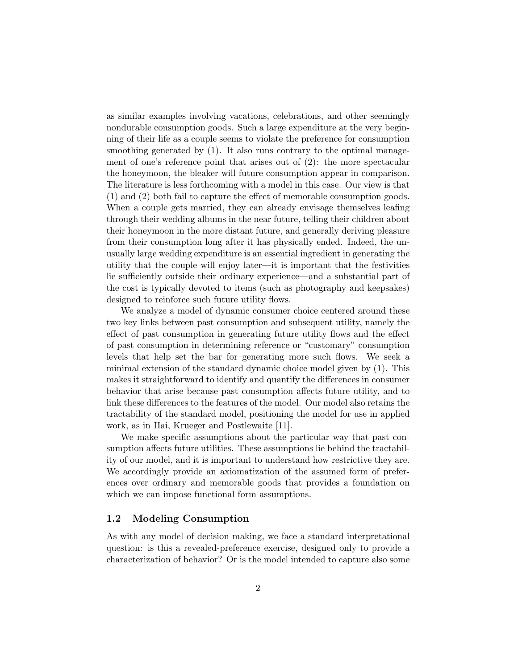as similar examples involving vacations, celebrations, and other seemingly nondurable consumption goods. Such a large expenditure at the very beginning of their life as a couple seems to violate the preference for consumption smoothing generated by (1). It also runs contrary to the optimal management of one's reference point that arises out of (2): the more spectacular the honeymoon, the bleaker will future consumption appear in comparison. The literature is less forthcoming with a model in this case. Our view is that (1) and (2) both fail to capture the effect of memorable consumption goods. When a couple gets married, they can already envisage themselves leafing through their wedding albums in the near future, telling their children about their honeymoon in the more distant future, and generally deriving pleasure from their consumption long after it has physically ended. Indeed, the unusually large wedding expenditure is an essential ingredient in generating the utility that the couple will enjoy later—it is important that the festivities lie sufficiently outside their ordinary experience—and a substantial part of the cost is typically devoted to items (such as photography and keepsakes) designed to reinforce such future utility flows.

We analyze a model of dynamic consumer choice centered around these two key links between past consumption and subsequent utility, namely the effect of past consumption in generating future utility flows and the effect of past consumption in determining reference or "customary" consumption levels that help set the bar for generating more such flows. We seek a minimal extension of the standard dynamic choice model given by (1). This makes it straightforward to identify and quantify the differences in consumer behavior that arise because past consumption affects future utility, and to link these differences to the features of the model. Our model also retains the tractability of the standard model, positioning the model for use in applied work, as in Hai, Krueger and Postlewaite [11].

We make specific assumptions about the particular way that past consumption affects future utilities. These assumptions lie behind the tractability of our model, and it is important to understand how restrictive they are. We accordingly provide an axiomatization of the assumed form of preferences over ordinary and memorable goods that provides a foundation on which we can impose functional form assumptions.

## 1.2 Modeling Consumption

As with any model of decision making, we face a standard interpretational question: is this a revealed-preference exercise, designed only to provide a characterization of behavior? Or is the model intended to capture also some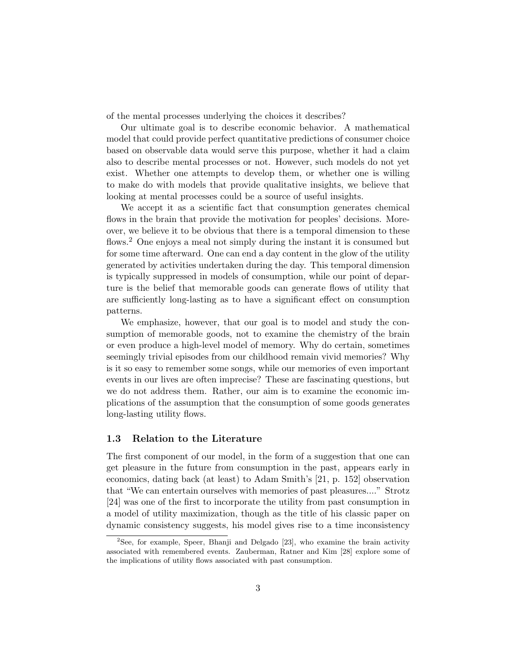of the mental processes underlying the choices it describes?

Our ultimate goal is to describe economic behavior. A mathematical model that could provide perfect quantitative predictions of consumer choice based on observable data would serve this purpose, whether it had a claim also to describe mental processes or not. However, such models do not yet exist. Whether one attempts to develop them, or whether one is willing to make do with models that provide qualitative insights, we believe that looking at mental processes could be a source of useful insights.

We accept it as a scientific fact that consumption generates chemical flows in the brain that provide the motivation for peoples' decisions. Moreover, we believe it to be obvious that there is a temporal dimension to these flows.<sup>2</sup> One enjoys a meal not simply during the instant it is consumed but for some time afterward. One can end a day content in the glow of the utility generated by activities undertaken during the day. This temporal dimension is typically suppressed in models of consumption, while our point of departure is the belief that memorable goods can generate flows of utility that are sufficiently long-lasting as to have a significant effect on consumption patterns.

We emphasize, however, that our goal is to model and study the consumption of memorable goods, not to examine the chemistry of the brain or even produce a high-level model of memory. Why do certain, sometimes seemingly trivial episodes from our childhood remain vivid memories? Why is it so easy to remember some songs, while our memories of even important events in our lives are often imprecise? These are fascinating questions, but we do not address them. Rather, our aim is to examine the economic implications of the assumption that the consumption of some goods generates long-lasting utility flows.

## 1.3 Relation to the Literature

The first component of our model, in the form of a suggestion that one can get pleasure in the future from consumption in the past, appears early in economics, dating back (at least) to Adam Smith's [21, p. 152] observation that "We can entertain ourselves with memories of past pleasures...." Strotz [24] was one of the first to incorporate the utility from past consumption in a model of utility maximization, though as the title of his classic paper on dynamic consistency suggests, his model gives rise to a time inconsistency

<sup>2</sup>See, for example, Speer, Bhanji and Delgado [23], who examine the brain activity associated with remembered events. Zauberman, Ratner and Kim [28] explore some of the implications of utility flows associated with past consumption.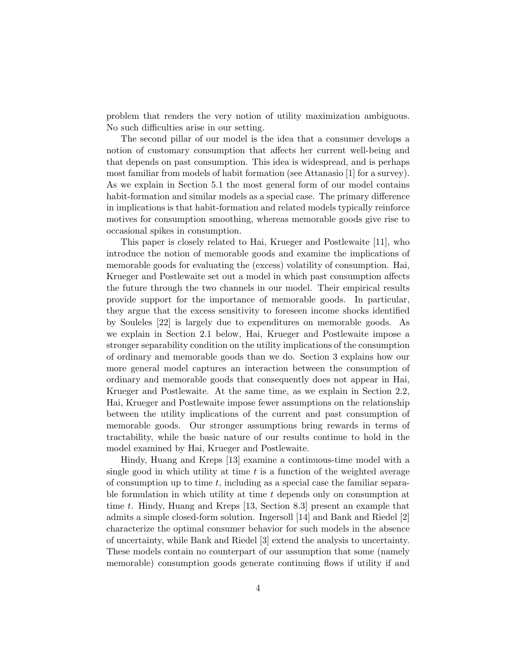problem that renders the very notion of utility maximization ambiguous. No such difficulties arise in our setting.

The second pillar of our model is the idea that a consumer develops a notion of customary consumption that affects her current well-being and that depends on past consumption. This idea is widespread, and is perhaps most familiar from models of habit formation (see Attanasio [1] for a survey). As we explain in Section 5.1 the most general form of our model contains habit-formation and similar models as a special case. The primary difference in implications is that habit-formation and related models typically reinforce motives for consumption smoothing, whereas memorable goods give rise to occasional spikes in consumption.

This paper is closely related to Hai, Krueger and Postlewaite [11], who introduce the notion of memorable goods and examine the implications of memorable goods for evaluating the (excess) volatility of consumption. Hai, Krueger and Postlewaite set out a model in which past consumption affects the future through the two channels in our model. Their empirical results provide support for the importance of memorable goods. In particular, they argue that the excess sensitivity to foreseen income shocks identified by Souleles [22] is largely due to expenditures on memorable goods. As we explain in Section 2.1 below, Hai, Krueger and Postlewaite impose a stronger separability condition on the utility implications of the consumption of ordinary and memorable goods than we do. Section 3 explains how our more general model captures an interaction between the consumption of ordinary and memorable goods that consequently does not appear in Hai, Krueger and Postlewaite. At the same time, as we explain in Section 2.2, Hai, Krueger and Postlewaite impose fewer assumptions on the relationship between the utility implications of the current and past consumption of memorable goods. Our stronger assumptions bring rewards in terms of tractability, while the basic nature of our results continue to hold in the model examined by Hai, Krueger and Postlewaite.

Hindy, Huang and Kreps [13] examine a continuous-time model with a single good in which utility at time  $t$  is a function of the weighted average of consumption up to time  $t$ , including as a special case the familiar separable formulation in which utility at time t depends only on consumption at time t. Hindy, Huang and Kreps [13, Section 8.3] present an example that admits a simple closed-form solution. Ingersoll [14] and Bank and Riedel [2] characterize the optimal consumer behavior for such models in the absence of uncertainty, while Bank and Riedel [3] extend the analysis to uncertainty. These models contain no counterpart of our assumption that some (namely memorable) consumption goods generate continuing flows if utility if and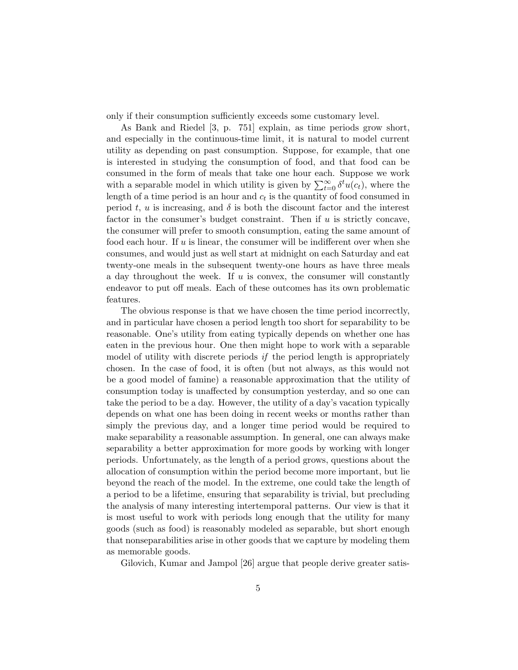only if their consumption sufficiently exceeds some customary level.

As Bank and Riedel [3, p. 751] explain, as time periods grow short, and especially in the continuous-time limit, it is natural to model current utility as depending on past consumption. Suppose, for example, that one is interested in studying the consumption of food, and that food can be consumed in the form of meals that take one hour each. Suppose we work with a separable model in which utility is given by  $\sum_{t=0}^{\infty} \delta^t u(c_t)$ , where the length of a time period is an hour and  $c_t$  is the quantity of food consumed in period t, u is increasing, and  $\delta$  is both the discount factor and the interest factor in the consumer's budget constraint. Then if  $u$  is strictly concave, the consumer will prefer to smooth consumption, eating the same amount of food each hour. If  $u$  is linear, the consumer will be indifferent over when she consumes, and would just as well start at midnight on each Saturday and eat twenty-one meals in the subsequent twenty-one hours as have three meals a day throughout the week. If  $u$  is convex, the consumer will constantly endeavor to put off meals. Each of these outcomes has its own problematic features.

The obvious response is that we have chosen the time period incorrectly, and in particular have chosen a period length too short for separability to be reasonable. One's utility from eating typically depends on whether one has eaten in the previous hour. One then might hope to work with a separable model of utility with discrete periods if the period length is appropriately chosen. In the case of food, it is often (but not always, as this would not be a good model of famine) a reasonable approximation that the utility of consumption today is unaffected by consumption yesterday, and so one can take the period to be a day. However, the utility of a day's vacation typically depends on what one has been doing in recent weeks or months rather than simply the previous day, and a longer time period would be required to make separability a reasonable assumption. In general, one can always make separability a better approximation for more goods by working with longer periods. Unfortunately, as the length of a period grows, questions about the allocation of consumption within the period become more important, but lie beyond the reach of the model. In the extreme, one could take the length of a period to be a lifetime, ensuring that separability is trivial, but precluding the analysis of many interesting intertemporal patterns. Our view is that it is most useful to work with periods long enough that the utility for many goods (such as food) is reasonably modeled as separable, but short enough that nonseparabilities arise in other goods that we capture by modeling them as memorable goods.

Gilovich, Kumar and Jampol [26] argue that people derive greater satis-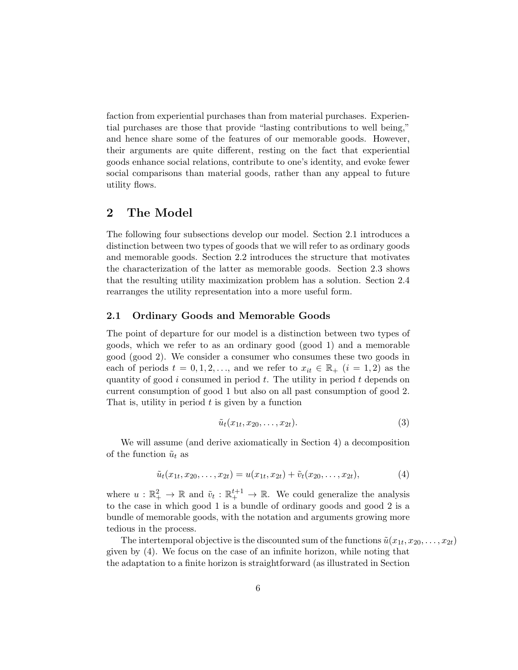faction from experiential purchases than from material purchases. Experiential purchases are those that provide "lasting contributions to well being," and hence share some of the features of our memorable goods. However, their arguments are quite different, resting on the fact that experiential goods enhance social relations, contribute to one's identity, and evoke fewer social comparisons than material goods, rather than any appeal to future utility flows.

## 2 The Model

The following four subsections develop our model. Section 2.1 introduces a distinction between two types of goods that we will refer to as ordinary goods and memorable goods. Section 2.2 introduces the structure that motivates the characterization of the latter as memorable goods. Section 2.3 shows that the resulting utility maximization problem has a solution. Section 2.4 rearranges the utility representation into a more useful form.

## 2.1 Ordinary Goods and Memorable Goods

The point of departure for our model is a distinction between two types of goods, which we refer to as an ordinary good (good 1) and a memorable good (good 2). We consider a consumer who consumes these two goods in each of periods  $t = 0, 1, 2, \ldots$ , and we refer to  $x_{it} \in \mathbb{R}_+$   $(i = 1, 2)$  as the quantity of good  $i$  consumed in period  $t$ . The utility in period  $t$  depends on current consumption of good 1 but also on all past consumption of good 2. That is, utility in period  $t$  is given by a function

$$
\tilde{u}_t(x_{1t}, x_{20}, \dots, x_{2t}). \tag{3}
$$

We will assume (and derive axiomatically in Section 4) a decomposition of the function  $\tilde{u}_t$  as

$$
\tilde{u}_t(x_{1t}, x_{20}, \dots, x_{2t}) = u(x_{1t}, x_{2t}) + \tilde{v}_t(x_{20}, \dots, x_{2t}), \tag{4}
$$

where  $u : \mathbb{R}_+^2 \to \mathbb{R}$  and  $\tilde{v}_t : \mathbb{R}_+^{t+1} \to \mathbb{R}$ . We could generalize the analysis to the case in which good 1 is a bundle of ordinary goods and good 2 is a bundle of memorable goods, with the notation and arguments growing more tedious in the process.

The intertemporal objective is the discounted sum of the functions  $\tilde{u}(x_{1t}, x_{20}, \ldots, x_{2t})$ given by (4). We focus on the case of an infinite horizon, while noting that the adaptation to a finite horizon is straightforward (as illustrated in Section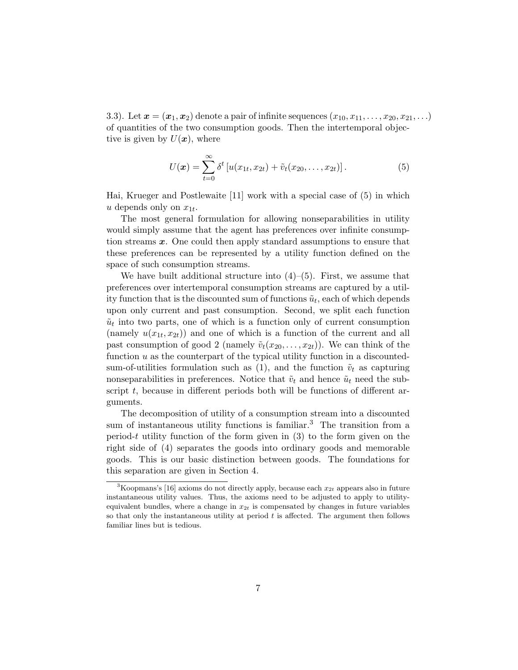3.3). Let  $\mathbf{x} = (\mathbf{x}_1, \mathbf{x}_2)$  denote a pair of infinite sequences  $(x_{10}, x_{11}, \ldots, x_{20}, x_{21}, \ldots)$ of quantities of the two consumption goods. Then the intertemporal objective is given by  $U(\boldsymbol{x})$ , where

$$
U(\boldsymbol{x}) = \sum_{t=0}^{\infty} \delta^t \left[ u(x_{1t}, x_{2t}) + \tilde{v}_t(x_{20}, \dots, x_{2t}) \right]. \tag{5}
$$

Hai, Krueger and Postlewaite [11] work with a special case of (5) in which u depends only on  $x_{1t}$ .

The most general formulation for allowing nonseparabilities in utility would simply assume that the agent has preferences over infinite consumption streams  $x$ . One could then apply standard assumptions to ensure that these preferences can be represented by a utility function defined on the space of such consumption streams.

We have built additional structure into  $(4)$ – $(5)$ . First, we assume that preferences over intertemporal consumption streams are captured by a utility function that is the discounted sum of functions  $\tilde{u}_t$ , each of which depends upon only current and past consumption. Second, we split each function  $\tilde{u}_t$  into two parts, one of which is a function only of current consumption (namely  $u(x_{1t}, x_{2t})$ ) and one of which is a function of the current and all past consumption of good 2 (namely  $\tilde{v}_t(x_{20}, \ldots, x_{2t})$ ). We can think of the function  $u$  as the counterpart of the typical utility function in a discountedsum-of-utilities formulation such as (1), and the function  $\tilde{v}_t$  as capturing nonseparabilities in preferences. Notice that  $\tilde{v}_t$  and hence  $\tilde{u}_t$  need the subscript  $t$ , because in different periods both will be functions of different arguments.

The decomposition of utility of a consumption stream into a discounted sum of instantaneous utility functions is familiar.<sup>3</sup> The transition from a period-t utility function of the form given in  $(3)$  to the form given on the right side of (4) separates the goods into ordinary goods and memorable goods. This is our basic distinction between goods. The foundations for this separation are given in Section 4.

<sup>&</sup>lt;sup>3</sup>Koopmans's [16] axioms do not directly apply, because each  $x_{2t}$  appears also in future instantaneous utility values. Thus, the axioms need to be adjusted to apply to utilityequivalent bundles, where a change in  $x_{2t}$  is compensated by changes in future variables so that only the instantaneous utility at period t is affected. The argument then follows familiar lines but is tedious.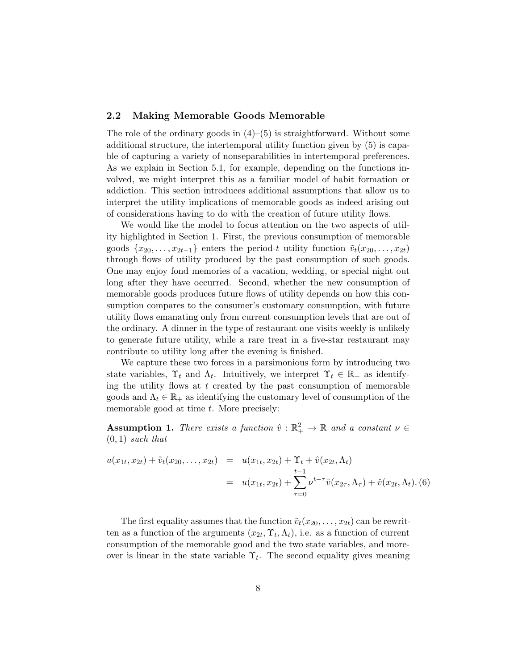## 2.2 Making Memorable Goods Memorable

The role of the ordinary goods in  $(4)$ – $(5)$  is straightforward. Without some additional structure, the intertemporal utility function given by (5) is capable of capturing a variety of nonseparabilities in intertemporal preferences. As we explain in Section 5.1, for example, depending on the functions involved, we might interpret this as a familiar model of habit formation or addiction. This section introduces additional assumptions that allow us to interpret the utility implications of memorable goods as indeed arising out of considerations having to do with the creation of future utility flows.

We would like the model to focus attention on the two aspects of utility highlighted in Section 1. First, the previous consumption of memorable goods  $\{x_{20}, \ldots, x_{2t-1}\}$  enters the period-t utility function  $\tilde{v}_t(x_{20}, \ldots, x_{2t})$ through flows of utility produced by the past consumption of such goods. One may enjoy fond memories of a vacation, wedding, or special night out long after they have occurred. Second, whether the new consumption of memorable goods produces future flows of utility depends on how this consumption compares to the consumer's customary consumption, with future utility flows emanating only from current consumption levels that are out of the ordinary. A dinner in the type of restaurant one visits weekly is unlikely to generate future utility, while a rare treat in a five-star restaurant may contribute to utility long after the evening is finished.

We capture these two forces in a parsimonious form by introducing two state variables,  $\Upsilon_t$  and  $\Lambda_t$ . Intuitively, we interpret  $\Upsilon_t \in \mathbb{R}_+$  as identifying the utility flows at t created by the past consumption of memorable goods and  $\Lambda_t \in \mathbb{R}_+$  as identifying the customary level of consumption of the memorable good at time  $t$ . More precisely:

**Assumption 1.** There exists a function  $\hat{v} : \mathbb{R}^2_+ \to \mathbb{R}$  and a constant  $v \in \mathbb{R}^2$  $(0, 1)$  such that

$$
u(x_{1t}, x_{2t}) + \tilde{v}_t(x_{20}, \dots, x_{2t}) = u(x_{1t}, x_{2t}) + \Upsilon_t + \hat{v}(x_{2t}, \Lambda_t)
$$
  
= 
$$
u(x_{1t}, x_{2t}) + \sum_{\tau=0}^{t-1} \nu^{t-\tau} \hat{v}(x_{2\tau}, \Lambda_\tau) + \hat{v}(x_{2t}, \Lambda_t). (6)
$$

The first equality assumes that the function  $\tilde{v}_t(x_{20}, \ldots, x_{2t})$  can be rewritten as a function of the arguments  $(x_{2t}, \Upsilon_t, \Lambda_t)$ , i.e. as a function of current consumption of the memorable good and the two state variables, and moreover is linear in the state variable  $\Upsilon_t$ . The second equality gives meaning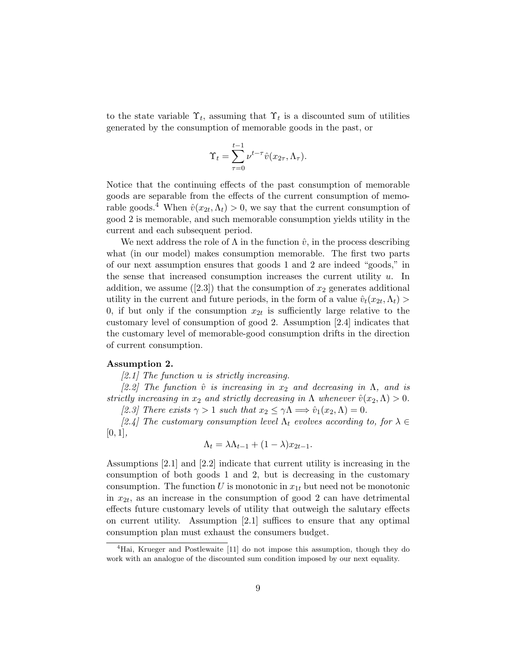to the state variable  $\Upsilon_t$ , assuming that  $\Upsilon_t$  is a discounted sum of utilities generated by the consumption of memorable goods in the past, or

$$
\Upsilon_t = \sum_{\tau=0}^{t-1} \nu^{t-\tau} \hat{v}(x_{2\tau}, \Lambda_\tau).
$$

Notice that the continuing effects of the past consumption of memorable goods are separable from the effects of the current consumption of memorable goods.<sup>4</sup> When  $\hat{v}(x_{2t}, \Lambda_t) > 0$ , we say that the current consumption of good 2 is memorable, and such memorable consumption yields utility in the current and each subsequent period.

We next address the role of  $\Lambda$  in the function  $\hat{v}$ , in the process describing what (in our model) makes consumption memorable. The first two parts of our next assumption ensures that goods 1 and 2 are indeed "goods," in the sense that increased consumption increases the current utility  $u$ . In addition, we assume  $([2.3])$  that the consumption of  $x_2$  generates additional utility in the current and future periods, in the form of a value  $\hat{v}_t(x_{2t}, \Lambda_t)$ 0, if but only if the consumption  $x_{2t}$  is sufficiently large relative to the customary level of consumption of good 2. Assumption [2.4] indicates that the customary level of memorable-good consumption drifts in the direction of current consumption.

#### Assumption 2.

 $[2.1]$  The function u is strictly increasing.

[2.2] The function  $\hat{v}$  is increasing in  $x_2$  and decreasing in  $\Lambda$ , and is strictly increasing in  $x_2$  and strictly decreasing in  $\Lambda$  whenever  $\hat{v}(x_2,\Lambda) > 0$ .

[2.3] There exists  $\gamma > 1$  such that  $x_2 \leq \gamma \Lambda \Longrightarrow \hat{v}_1(x_2, \Lambda) = 0$ .

[2.4] The customary consumption level  $\Lambda_t$  evolves according to, for  $\lambda \in$  $[0, 1],$ 

$$
\Lambda_t = \lambda \Lambda_{t-1} + (1 - \lambda)x_{2t-1}.
$$

Assumptions [2.1] and [2.2] indicate that current utility is increasing in the consumption of both goods 1 and 2, but is decreasing in the customary consumption. The function U is monotonic in  $x_{1t}$  but need not be monotonic in  $x_{2t}$ , as an increase in the consumption of good 2 can have detrimental effects future customary levels of utility that outweigh the salutary effects on current utility. Assumption [2.1] suffices to ensure that any optimal consumption plan must exhaust the consumers budget.

<sup>&</sup>lt;sup>4</sup>Hai, Krueger and Postlewaite [11] do not impose this assumption, though they do work with an analogue of the discounted sum condition imposed by our next equality.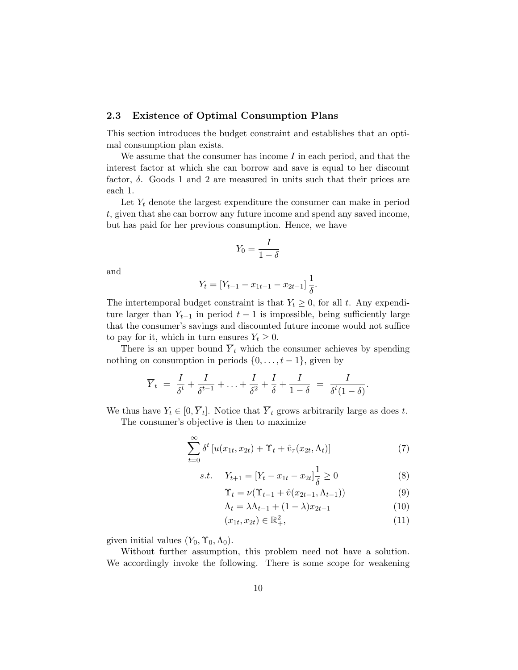## 2.3 Existence of Optimal Consumption Plans

This section introduces the budget constraint and establishes that an optimal consumption plan exists.

We assume that the consumer has income  $I$  in each period, and that the interest factor at which she can borrow and save is equal to her discount factor,  $\delta$ . Goods 1 and 2 are measured in units such that their prices are each 1.

Let  $Y_t$  denote the largest expenditure the consumer can make in period t, given that she can borrow any future income and spend any saved income, but has paid for her previous consumption. Hence, we have

$$
Y_0 = \frac{I}{1-\delta}
$$

and

$$
Y_t = [Y_{t-1} - x_{1t-1} - x_{2t-1}] \frac{1}{\delta}.
$$

The intertemporal budget constraint is that  $Y_t \geq 0$ , for all t. Any expenditure larger than  $Y_{t-1}$  in period  $t-1$  is impossible, being sufficiently large that the consumer's savings and discounted future income would not suffice to pay for it, which in turn ensures  $Y_t \geq 0$ .

There is an upper bound  $\overline{Y}_t$  which the consumer achieves by spending nothing on consumption in periods  $\{0, \ldots, t-1\}$ , given by

$$
\overline{Y}_t = \frac{I}{\delta^t} + \frac{I}{\delta^{t-1}} + \ldots + \frac{I}{\delta^2} + \frac{I}{\delta} + \frac{I}{1-\delta} = \frac{I}{\delta^t (1-\delta)}.
$$

We thus have  $Y_t \in [0, \overline{Y}_t]$ . Notice that  $\overline{Y}_t$  grows arbitrarily large as does t.

The consumer's objective is then to maximize

$$
\sum_{t=0}^{\infty} \delta^t \left[ u(x_{1t}, x_{2t}) + \Upsilon_t + \hat{v}_\tau(x_{2t}, \Lambda_t) \right]
$$
 (7)

s.t. 
$$
Y_{t+1} = [Y_t - x_{1t} - x_{2t}] \frac{1}{\delta} \ge 0
$$
 (8)

$$
\Upsilon_t = \nu(\Upsilon_{t-1} + \hat{v}(x_{2t-1}, \Lambda_{t-1})) \tag{9}
$$

$$
\Lambda_t = \lambda \Lambda_{t-1} + (1 - \lambda)x_{2t-1} \tag{10}
$$

$$
(x_{1t}, x_{2t}) \in \mathbb{R}^2_+, \tag{11}
$$

given initial values  $(Y_0, \Upsilon_0, \Lambda_0)$ .

Without further assumption, this problem need not have a solution. We accordingly invoke the following. There is some scope for weakening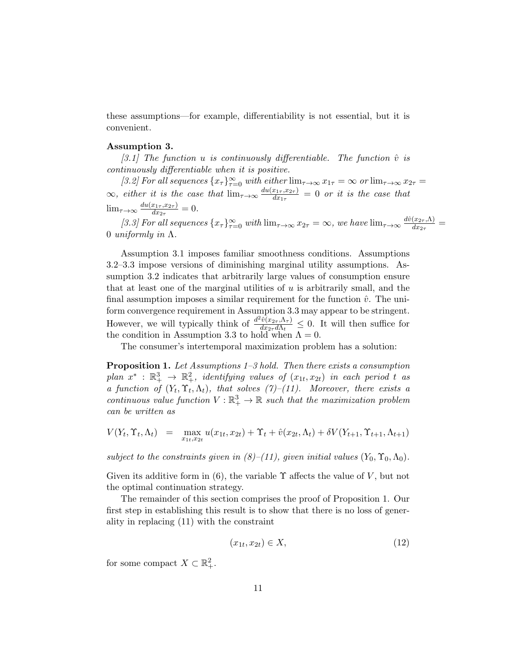these assumptions—for example, differentiability is not essential, but it is convenient.

## Assumption 3.

[3.1] The function u is continuously differentiable. The function  $\hat{v}$  is continuously differentiable when it is positive.

[3.2] For all sequences  $\{x_\tau\}_{\tau=0}^\infty$  with either  $\lim_{\tau\to\infty} x_{1\tau} = \infty$  or  $\lim_{\tau\to\infty} x_{2\tau} =$  $\infty$ , either it is the case that  $\lim_{\tau \to \infty} \frac{du(x_1, x_2, x_1)}{dx_1}$  $\frac{x_{1\tau},x_{2\tau}}{dx_{1\tau}} = 0$  or it is the case that  $\lim_{\tau \to \infty} \frac{du(x_{1\tau}, x_{2\tau})}{dx_{2\tau}}$  $rac{x_{1\tau},x_{2\tau}}{dx_{2\tau}}=0.$ 

[3.3] For all sequences  $\{x_\tau\}_{\tau=0}^\infty$  with  $\lim_{\tau\to\infty} x_{2\tau} = \infty$ , we have  $\lim_{\tau\to\infty} \frac{d\hat{v}(x_{2\tau},\Lambda)}{dx_{2\tau}}$  $\frac{(x_{2\tau},\Lambda)}{dx_{2\tau}}=$ 0 *uniformly in*  $Λ$ .

Assumption 3.1 imposes familiar smoothness conditions. Assumptions 3.2–3.3 impose versions of diminishing marginal utility assumptions. Assumption 3.2 indicates that arbitrarily large values of consumption ensure that at least one of the marginal utilities of  $u$  is arbitrarily small, and the final assumption imposes a similar requirement for the function  $\hat{v}$ . The uniform convergence requirement in Assumption 3.3 may appear to be stringent. However, we will typically think of  $\frac{d^2\hat{v}(x_{2\tau},\Lambda_{\tau})}{dx_{2\tau}d\Lambda_{\tau}}$  $\frac{\partial u(x_2, \Lambda_\tau)}{\partial x_2 \tau d\Lambda_t} \leq 0$ . It will then suffice for the condition in Assumption 3.3 to hold when  $\Lambda = 0$ .

The consumer's intertemporal maximization problem has a solution:

**Proposition 1.** Let Assumptions 1–3 hold. Then there exists a consumption  $plan\; x^{*}\;:\;\mathbb{R}^{3}_{+}\;\rightarrow\;\mathbb{R}^{2}_{+},\; identifying\; values\; of\; (x_{1t},x_{2t})\; \; in\; \; each\; period\; t\; \; as$ a function of  $(Y_t, \Upsilon_t, \Lambda_t)$ , that solves  $(\Upsilon)$ - $(11)$ . Moreover, there exists a continuous value function  $V : \mathbb{R}^3_+ \to \mathbb{R}$  such that the maximization problem can be written as

$$
V(Y_t, \Upsilon_t, \Lambda_t) = \max_{x_{1t}, x_{2t}} u(x_{1t}, x_{2t}) + \Upsilon_t + \hat{v}(x_{2t}, \Lambda_t) + \delta V(Y_{t+1}, \Upsilon_{t+1}, \Lambda_{t+1})
$$

subject to the constraints given in  $(8)$ – $(11)$ , given initial values  $(Y_0, \Upsilon_0, \Lambda_0)$ .

Given its additive form in (6), the variable  $\Upsilon$  affects the value of V, but not the optimal continuation strategy.

The remainder of this section comprises the proof of Proposition 1. Our first step in establishing this result is to show that there is no loss of generality in replacing (11) with the constraint

$$
(x_{1t}, x_{2t}) \in X,\tag{12}
$$

for some compact  $X \subset \mathbb{R}^2_+$ .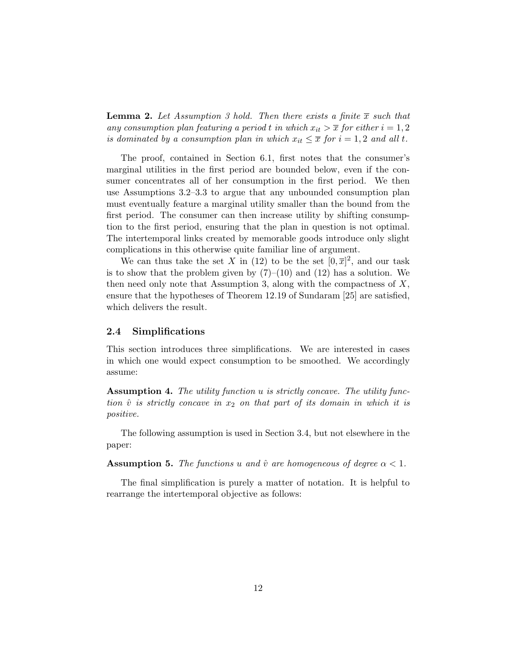**Lemma 2.** Let Assumption 3 hold. Then there exists a finite  $\bar{x}$  such that any consumption plan featuring a period t in which  $x_{it} > \overline{x}$  for either  $i = 1, 2$ is dominated by a consumption plan in which  $x_{it} \leq \overline{x}$  for  $i = 1, 2$  and all t.

The proof, contained in Section 6.1, first notes that the consumer's marginal utilities in the first period are bounded below, even if the consumer concentrates all of her consumption in the first period. We then use Assumptions 3.2–3.3 to argue that any unbounded consumption plan must eventually feature a marginal utility smaller than the bound from the first period. The consumer can then increase utility by shifting consumption to the first period, ensuring that the plan in question is not optimal. The intertemporal links created by memorable goods introduce only slight complications in this otherwise quite familiar line of argument.

We can thus take the set X in (12) to be the set  $[0, \overline{x}]^2$ , and our task is to show that the problem given by  $(7)-(10)$  and  $(12)$  has a solution. We then need only note that Assumption 3, along with the compactness of  $X$ , ensure that the hypotheses of Theorem 12.19 of Sundaram [25] are satisfied, which delivers the result.

## 2.4 Simplifications

This section introduces three simplifications. We are interested in cases in which one would expect consumption to be smoothed. We accordingly assume:

Assumption 4. The utility function u is strictly concave. The utility function  $\hat{v}$  is strictly concave in  $x_2$  on that part of its domain in which it is positive.

The following assumption is used in Section 3.4, but not elsewhere in the paper:

**Assumption 5.** The functions u and  $\hat{v}$  are homogeneous of degree  $\alpha < 1$ .

The final simplification is purely a matter of notation. It is helpful to rearrange the intertemporal objective as follows: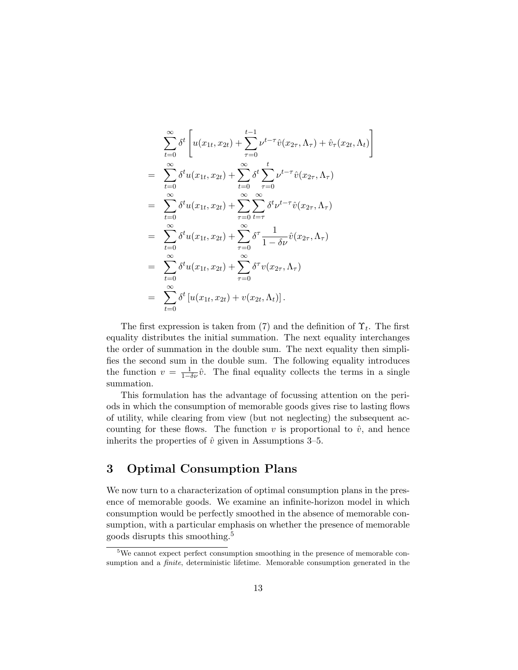$$
\sum_{t=0}^{\infty} \delta^t \left[ u(x_{1t}, x_{2t}) + \sum_{\tau=0}^{t-1} \nu^{t-\tau} \hat{v}(x_{2\tau}, \Lambda_{\tau}) + \hat{v}_{\tau}(x_{2t}, \Lambda_t) \right]
$$
\n
$$
= \sum_{t=0}^{\infty} \delta^t u(x_{1t}, x_{2t}) + \sum_{t=0}^{\infty} \delta^t \sum_{\tau=0}^t \nu^{t-\tau} \hat{v}(x_{2\tau}, \Lambda_{\tau})
$$
\n
$$
= \sum_{t=0}^{\infty} \delta^t u(x_{1t}, x_{2t}) + \sum_{\tau=0}^{\infty} \sum_{t=\tau}^{\infty} \delta^t \nu^{t-\tau} \hat{v}(x_{2\tau}, \Lambda_{\tau})
$$
\n
$$
= \sum_{t=0}^{\infty} \delta^t u(x_{1t}, x_{2t}) + \sum_{\tau=0}^{\infty} \delta^{\tau} \frac{1}{1 - \delta \nu} \hat{v}(x_{2\tau}, \Lambda_{\tau})
$$
\n
$$
= \sum_{t=0}^{\infty} \delta^t u(x_{1t}, x_{2t}) + \sum_{\tau=0}^{\infty} \delta^{\tau} v(x_{2\tau}, \Lambda_{\tau})
$$
\n
$$
= \sum_{t=0}^{\infty} \delta^t \left[ u(x_{1t}, x_{2t}) + v(x_{2t}, \Lambda_t) \right].
$$

The first expression is taken from (7) and the definition of  $\Upsilon_t$ . The first equality distributes the initial summation. The next equality interchanges the order of summation in the double sum. The next equality then simplifies the second sum in the double sum. The following equality introduces the function  $v = \frac{1}{1-\delta \nu} \hat{v}$ . The final equality collects the terms in a single summation.

This formulation has the advantage of focussing attention on the periods in which the consumption of memorable goods gives rise to lasting flows of utility, while clearing from view (but not neglecting) the subsequent accounting for these flows. The function v is proportional to  $\hat{v}$ , and hence inherits the properties of  $\hat{v}$  given in Assumptions 3–5.

## 3 Optimal Consumption Plans

We now turn to a characterization of optimal consumption plans in the presence of memorable goods. We examine an infinite-horizon model in which consumption would be perfectly smoothed in the absence of memorable consumption, with a particular emphasis on whether the presence of memorable goods disrupts this smoothing.<sup>5</sup>

<sup>&</sup>lt;sup>5</sup>We cannot expect perfect consumption smoothing in the presence of memorable consumption and a finite, deterministic lifetime. Memorable consumption generated in the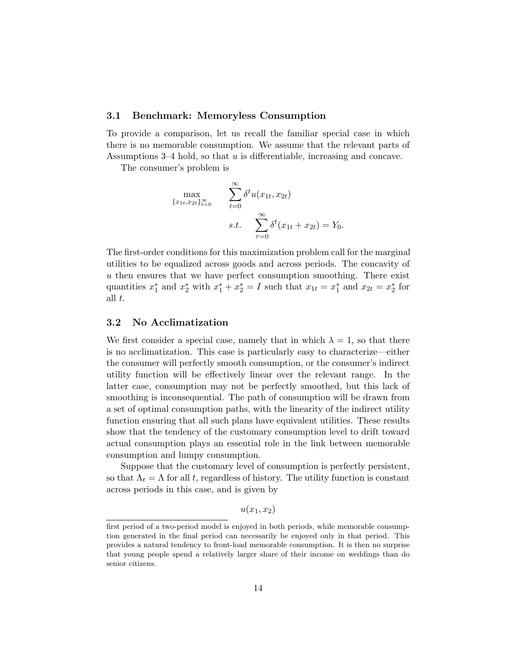## 3.1 Benchmark: Memoryless Consumption

To provide a comparison, let us recall the familiar special case in which there is no memorable consumption. We assume that the relevant parts of Assumptions  $3-4$  hold, so that u is differentiable, increasing and concave.

The consumer's problem is

$$
\max_{\{x_{1t}, x_{2t}\}_{t=0}^{\infty}} \sum_{t=0}^{\infty} \delta^t u(x_{1t}, x_{2t})
$$
  
s.t. 
$$
\sum_{\tau=0}^{\infty} \delta^t (x_{1t} + x_{2t}) = Y_0.
$$

The first-order conditions for this maximization problem call for the marginal utilities to be equalized across goods and across periods. The concavity of u then ensures that we have perfect consumption smoothing. There exist quantities  $x_1^*$  and  $x_2^*$  with  $x_1^* + x_2^* = I$  such that  $x_{1t} = x_1^*$  and  $x_{2t} = x_2^*$  for all t.

## 3.2 No Acclimatization

We first consider a special case, namely that in which  $\lambda = 1$ , so that there is no acclimatization. This case is particularly easy to characterize—either the consumer will perfectly smooth consumption, or the consumer's indirect utility function will be effectively linear over the relevant range. In the latter case, consumption may not be perfectly smoothed, but this lack of smoothing is inconsequential. The path of consumption will be drawn from a set of optimal consumption paths, with the linearity of the indirect utility function ensuring that all such plans have equivalent utilities. These results show that the tendency of the customary consumption level to drift toward actual consumption plays an essential role in the link between memorable consumption and lumpy consumption.

Suppose that the customary level of consumption is perfectly persistent, so that  $\Lambda_t = \Lambda$  for all t, regardless of history. The utility function is constant across periods in this case, and is given by

 $u(x_1, x_2)$ 

first period of a two-period model is enjoyed in both periods, while memorable consumption generated in the final period can necessarily be enjoyed only in that period. This provides a natural tendency to front-load memorable consumption. It is then no surprise that young people spend a relatively larger share of their income on weddings than do senior citizens.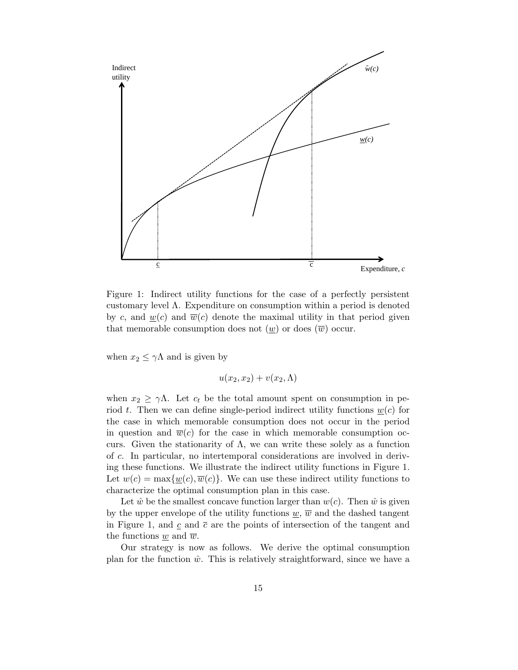

Figure 1: Indirect utility functions for the case of a perfectly persistent customary level  $\Lambda$ . Expenditure on consumption within a period is denoted by c, and  $w(c)$  and  $\overline{w}(c)$  denote the maximal utility in that period given that memorable consumption does not  $(\underline{w})$  or does  $(\overline{w})$  occur.

when  $x_2 \leq \gamma \Lambda$  and is given by

 $u(x_2, x_2) + v(x_2, \Lambda)$ 

when  $x_2 \geq \gamma \Lambda$ . Let  $c_t$  be the total amount spent on consumption in period t. Then we can define single-period indirect utility functions  $w(c)$  for the case in which memorable consumption does not occur in the period in question and  $\overline{w}(c)$  for the case in which memorable consumption occurs. Given the stationarity of  $\Lambda$ , we can write these solely as a function of c. In particular, no intertemporal considerations are involved in deriving these functions. We illustrate the indirect utility functions in Figure 1. Let  $w(c) = \max\{w(c), \overline{w}(c)\}\$ . We can use these indirect utility functions to characterize the optimal consumption plan in this case.

Let  $\hat{w}$  be the smallest concave function larger than  $w(c)$ . Then  $\hat{w}$  is given by the upper envelope of the utility functions  $w, \overline{w}$  and the dashed tangent in Figure 1, and c and  $\bar{c}$  are the points of intersection of the tangent and the functions w and  $\overline{w}$ .

Our strategy is now as follows. We derive the optimal consumption plan for the function  $\hat{w}$ . This is relatively straightforward, since we have a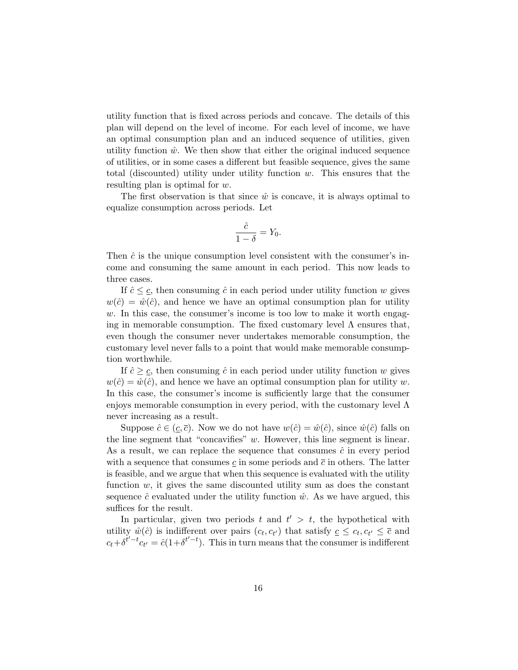utility function that is fixed across periods and concave. The details of this plan will depend on the level of income. For each level of income, we have an optimal consumption plan and an induced sequence of utilities, given utility function  $\hat{w}$ . We then show that either the original induced sequence of utilities, or in some cases a different but feasible sequence, gives the same total (discounted) utility under utility function  $w$ . This ensures that the resulting plan is optimal for w.

The first observation is that since  $\hat{w}$  is concave, it is always optimal to equalize consumption across periods. Let

$$
\frac{\hat{c}}{1-\delta}=Y_0.
$$

Then  $\hat{c}$  is the unique consumption level consistent with the consumer's income and consuming the same amount in each period. This now leads to three cases.

If  $\hat{c} \leq \underline{c}$ , then consuming  $\hat{c}$  in each period under utility function w gives  $w(\hat{c}) = \hat{w}(\hat{c})$ , and hence we have an optimal consumption plan for utility  $w$ . In this case, the consumer's income is too low to make it worth engaging in memorable consumption. The fixed customary level  $\Lambda$  ensures that, even though the consumer never undertakes memorable consumption, the customary level never falls to a point that would make memorable consumption worthwhile.

If  $\hat{c} \geq \underline{c}$ , then consuming  $\hat{c}$  in each period under utility function w gives  $w(\hat{c}) = \hat{w}(\hat{c})$ , and hence we have an optimal consumption plan for utility w. In this case, the consumer's income is sufficiently large that the consumer enjoys memorable consumption in every period, with the customary level  $\Lambda$ never increasing as a result.

Suppose  $\hat{c} \in (c, \overline{c})$ . Now we do not have  $w(\hat{c}) = \hat{w}(\hat{c})$ , since  $\hat{w}(\hat{c})$  falls on the line segment that "concavifies" w. However, this line segment is linear. As a result, we can replace the sequence that consumes  $\hat{c}$  in every period with a sequence that consumes c in some periods and  $\bar{c}$  in others. The latter is feasible, and we argue that when this sequence is evaluated with the utility function  $w$ , it gives the same discounted utility sum as does the constant sequence  $\hat{c}$  evaluated under the utility function  $\hat{w}$ . As we have argued, this suffices for the result.

In particular, given two periods t and  $t' > t$ , the hypothetical with utility  $\hat{w}(\hat{c})$  is indifferent over pairs  $(c_t, c_{t'})$  that satisfy  $\underline{c} \leq c_t, c_{t'} \leq \overline{c}$  and  $c_t + \delta^{t'-t} c_{t'} = \hat{c}(1 + \delta^{t'-t})$ . This in turn means that the consumer is indifferent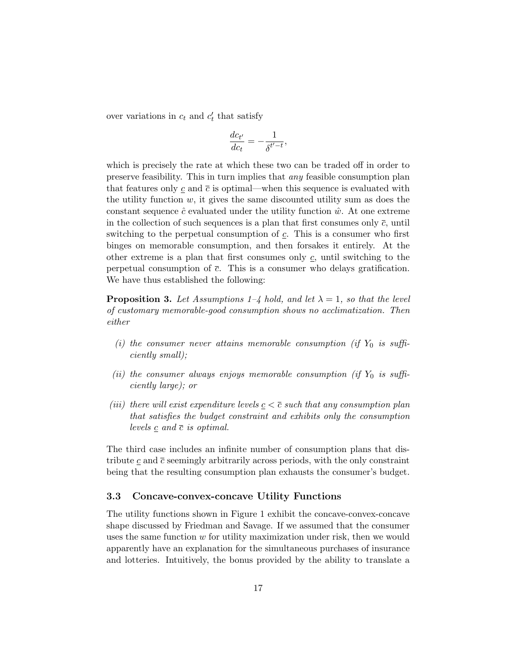over variations in  $c_t$  and  $c'_t$  that satisfy

$$
\frac{dc_{t'}}{dc_t} = -\frac{1}{\delta^{t'-t}},
$$

which is precisely the rate at which these two can be traded off in order to preserve feasibility. This in turn implies that any feasible consumption plan that features only c and  $\bar{c}$  is optimal—when this sequence is evaluated with the utility function  $w$ , it gives the same discounted utility sum as does the constant sequence  $\hat{c}$  evaluated under the utility function  $\hat{w}$ . At one extreme in the collection of such sequences is a plan that first consumes only  $\bar{c}$ , until switching to the perpetual consumption of  $c$ . This is a consumer who first binges on memorable consumption, and then forsakes it entirely. At the other extreme is a plan that first consumes only  $c$ , until switching to the perpetual consumption of  $\bar{c}$ . This is a consumer who delays gratification. We have thus established the following:

**Proposition 3.** Let Assumptions 1–4 hold, and let  $\lambda = 1$ , so that the level of customary memorable-good consumption shows no acclimatization. Then either

- (i) the consumer never attains memorable consumption (if  $Y_0$  is sufficiently small);
- (ii) the consumer always enjoys memorable consumption (if  $Y_0$  is sufficiently large); or
- (iii) there will exist expenditure levels  $\underline{c} < \overline{c}$  such that any consumption plan that satisfies the budget constraint and exhibits only the consumption levels  $\underline{c}$  and  $\overline{c}$  is optimal.

The third case includes an infinite number of consumption plans that distribute  $c$  and  $\bar{c}$  seemingly arbitrarily across periods, with the only constraint being that the resulting consumption plan exhausts the consumer's budget.

## 3.3 Concave-convex-concave Utility Functions

The utility functions shown in Figure 1 exhibit the concave-convex-concave shape discussed by Friedman and Savage. If we assumed that the consumer uses the same function  $w$  for utility maximization under risk, then we would apparently have an explanation for the simultaneous purchases of insurance and lotteries. Intuitively, the bonus provided by the ability to translate a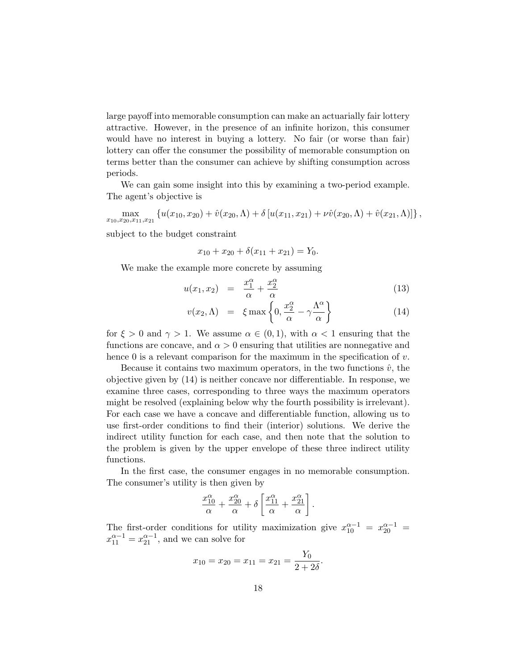large payoff into memorable consumption can make an actuarially fair lottery attractive. However, in the presence of an infinite horizon, this consumer would have no interest in buying a lottery. No fair (or worse than fair) lottery can offer the consumer the possibility of memorable consumption on terms better than the consumer can achieve by shifting consumption across periods.

We can gain some insight into this by examining a two-period example. The agent's objective is

$$
\max_{x_{10},x_{20},x_{11},x_{21}} \left\{ u(x_{10},x_{20}) + \hat{v}(x_{20},\Lambda) + \delta \left[ u(x_{11},x_{21}) + \hat{v}(x_{20},\Lambda) + \hat{v}(x_{21},\Lambda) \right] \right\},\,
$$

subject to the budget constraint

$$
x_{10} + x_{20} + \delta(x_{11} + x_{21}) = Y_0.
$$

We make the example more concrete by assuming

$$
u(x_1, x_2) = \frac{x_1^{\alpha}}{\alpha} + \frac{x_2^{\alpha}}{\alpha} \tag{13}
$$

$$
v(x_2, \Lambda) = \xi \max \left\{ 0, \frac{x_2^{\alpha}}{\alpha} - \gamma \frac{\Lambda^{\alpha}}{\alpha} \right\}
$$
 (14)

for  $\xi > 0$  and  $\gamma > 1$ . We assume  $\alpha \in (0,1)$ , with  $\alpha < 1$  ensuring that the functions are concave, and  $\alpha > 0$  ensuring that utilities are nonnegative and hence 0 is a relevant comparison for the maximum in the specification of  $v$ .

Because it contains two maximum operators, in the two functions  $\hat{v}$ , the objective given by (14) is neither concave nor differentiable. In response, we examine three cases, corresponding to three ways the maximum operators might be resolved (explaining below why the fourth possibility is irrelevant). For each case we have a concave and differentiable function, allowing us to use first-order conditions to find their (interior) solutions. We derive the indirect utility function for each case, and then note that the solution to the problem is given by the upper envelope of these three indirect utility functions.

In the first case, the consumer engages in no memorable consumption. The consumer's utility is then given by

$$
\frac{x_{10}^{\alpha}}{\alpha} + \frac{x_{20}^{\alpha}}{\alpha} + \delta \left[ \frac{x_{11}^{\alpha}}{\alpha} + \frac{x_{21}^{\alpha}}{\alpha} \right].
$$

The first-order conditions for utility maximization give  $x_{10}^{\alpha-1} = x_{20}^{\alpha-1} =$  $x_{11}^{\alpha-1} = x_{21}^{\alpha-1}$ , and we can solve for

$$
x_{10} = x_{20} = x_{11} = x_{21} = \frac{Y_0}{2 + 2\delta}.
$$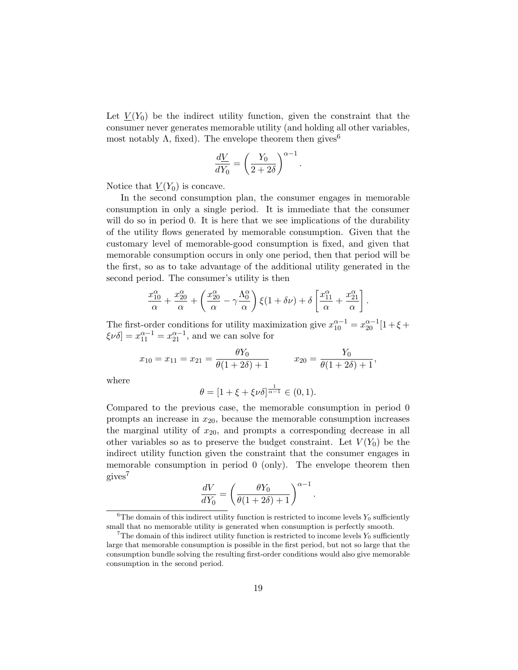Let  $V(Y_0)$  be the indirect utility function, given the constraint that the consumer never generates memorable utility (and holding all other variables, most notably  $\Lambda$ , fixed). The envelope theorem then gives<sup>6</sup>

$$
\frac{d\underline{V}}{dY_0} = \left(\frac{Y_0}{2+2\delta}\right)^{\alpha-1}
$$

.

Notice that  $V(Y_0)$  is concave.

In the second consumption plan, the consumer engages in memorable consumption in only a single period. It is immediate that the consumer will do so in period 0. It is here that we see implications of the durability of the utility flows generated by memorable consumption. Given that the customary level of memorable-good consumption is fixed, and given that memorable consumption occurs in only one period, then that period will be the first, so as to take advantage of the additional utility generated in the second period. The consumer's utility is then

$$
\frac{x_{10}^{\alpha}}{\alpha} + \frac{x_{20}^{\alpha}}{\alpha} + \left(\frac{x_{20}^{\alpha}}{\alpha} - \gamma \frac{\Lambda_0^{\alpha}}{\alpha}\right) \xi(1 + \delta \nu) + \delta \left[\frac{x_{11}^{\alpha}}{\alpha} + \frac{x_{21}^{\alpha}}{\alpha}\right].
$$

The first-order conditions for utility maximization give  $x_{10}^{\alpha-1} = x_{20}^{\alpha-1} [1 + \xi +$  $\xi \nu \delta] = x_{11}^{\alpha - 1} = x_{21}^{\alpha - 1}$ , and we can solve for

$$
x_{10} = x_{11} = x_{21} = \frac{\theta Y_0}{\theta(1+2\delta) + 1} \qquad x_{20} = \frac{Y_0}{\theta(1+2\delta) + 1},
$$

where

$$
\theta = [1 + \xi + \xi \nu \delta]^{\frac{1}{\alpha - 1}} \in (0, 1).
$$

Compared to the previous case, the memorable consumption in period 0 prompts an increase in  $x_{20}$ , because the memorable consumption increases the marginal utility of  $x_{20}$ , and prompts a corresponding decrease in all other variables so as to preserve the budget constraint. Let  $V(Y_0)$  be the indirect utility function given the constraint that the consumer engages in memorable consumption in period 0 (only). The envelope theorem then gives<sup>7</sup>

$$
\frac{dV}{dY_0} = \left(\frac{\theta Y_0}{\theta(1+2\delta)+1}\right)^{\alpha-1}
$$

.

<sup>&</sup>lt;sup>6</sup>The domain of this indirect utility function is restricted to income levels  $Y_0$  sufficiently small that no memorable utility is generated when consumption is perfectly smooth.

<sup>&</sup>lt;sup>7</sup>The domain of this indirect utility function is restricted to income levels  $Y_0$  sufficiently large that memorable consumption is possible in the first period, but not so large that the consumption bundle solving the resulting first-order conditions would also give memorable consumption in the second period.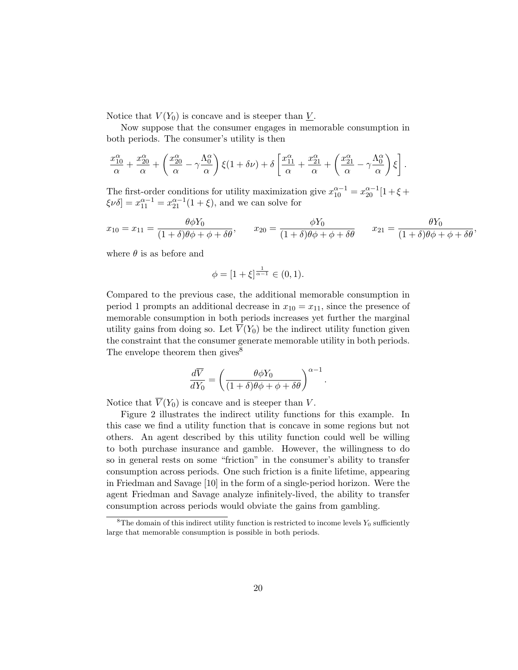Notice that  $V(Y_0)$  is concave and is steeper than  $\underline{V}$ .

Now suppose that the consumer engages in memorable consumption in both periods. The consumer's utility is then

$$
\frac{x_{10}^{\alpha}}{\alpha} + \frac{x_{20}^{\alpha}}{\alpha} + \left(\frac{x_{20}^{\alpha}}{\alpha} - \gamma \frac{\Lambda_0^{\alpha}}{\alpha}\right) \xi(1 + \delta \nu) + \delta \left[\frac{x_{11}^{\alpha}}{\alpha} + \frac{x_{21}^{\alpha}}{\alpha} + \left(\frac{x_{21}^{\alpha}}{\alpha} - \gamma \frac{\Lambda_0^{\alpha}}{\alpha}\right) \xi\right]
$$

The first-order conditions for utility maximization give  $x_{10}^{\alpha-1} = x_{20}^{\alpha-1} [1 + \xi +$  $\xi \nu \delta] = x_{11}^{\alpha - 1} = x_{21}^{\alpha - 1} (1 + \xi)$ , and we can solve for

$$
x_{10} = x_{11} = \frac{\theta \phi Y_0}{(1+\delta)\theta\phi + \phi + \delta\theta}, \qquad x_{20} = \frac{\phi Y_0}{(1+\delta)\theta\phi + \phi + \delta\theta} \qquad x_{21} = \frac{\theta Y_0}{(1+\delta)\theta\phi + \phi + \delta\theta},
$$

.

where  $\theta$  is as before and

$$
\phi = [1 + \xi]^{\frac{1}{\alpha - 1}} \in (0, 1).
$$

Compared to the previous case, the additional memorable consumption in period 1 prompts an additional decrease in  $x_{10} = x_{11}$ , since the presence of memorable consumption in both periods increases yet further the marginal utility gains from doing so. Let  $V(Y_0)$  be the indirect utility function given the constraint that the consumer generate memorable utility in both periods. The envelope theorem then gives<sup>8</sup>

$$
\frac{d\overline{V}}{dY_0} = \left(\frac{\theta \phi Y_0}{(1+\delta)\theta \phi + \phi + \delta \theta}\right)^{\alpha - 1}.
$$

Notice that  $\overline{V}(Y_0)$  is concave and is steeper than V.

Figure 2 illustrates the indirect utility functions for this example. In this case we find a utility function that is concave in some regions but not others. An agent described by this utility function could well be willing to both purchase insurance and gamble. However, the willingness to do so in general rests on some "friction" in the consumer's ability to transfer consumption across periods. One such friction is a finite lifetime, appearing in Friedman and Savage [10] in the form of a single-period horizon. Were the agent Friedman and Savage analyze infinitely-lived, the ability to transfer consumption across periods would obviate the gains from gambling.

<sup>&</sup>lt;sup>8</sup>The domain of this indirect utility function is restricted to income levels  $Y_0$  sufficiently large that memorable consumption is possible in both periods.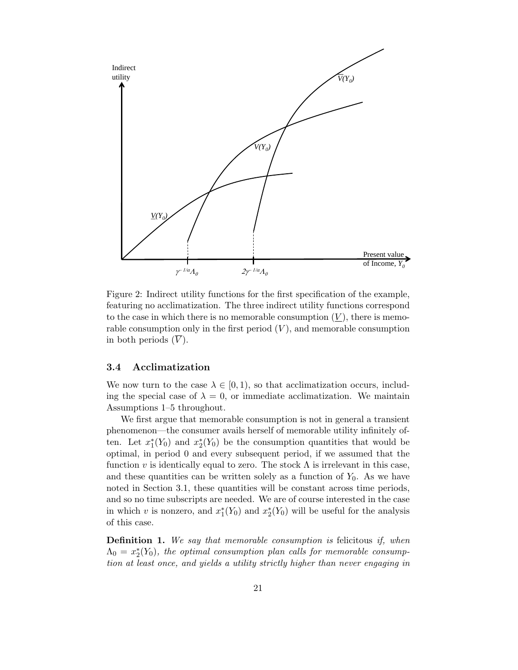

Figure 2: Indirect utility functions for the first specification of the example, featuring no acclimatization. The three indirect utility functions correspond to the case in which there is no memorable consumption  $(V)$ , there is memorable consumption only in the first period  $(V)$ , and memorable consumption in both periods  $(V)$ .

## 3.4 Acclimatization

We now turn to the case  $\lambda \in [0, 1)$ , so that acclimatization occurs, including the special case of  $\lambda = 0$ , or immediate acclimatization. We maintain Assumptions 1–5 throughout.

We first argue that memorable consumption is not in general a transient phenomenon—the consumer avails herself of memorable utility infinitely often. Let  $x_1^*(Y_0)$  and  $x_2^*(Y_0)$  be the consumption quantities that would be optimal, in period 0 and every subsequent period, if we assumed that the function v is identically equal to zero. The stock  $\Lambda$  is irrelevant in this case, and these quantities can be written solely as a function of  $Y_0$ . As we have noted in Section 3.1, these quantities will be constant across time periods, and so no time subscripts are needed. We are of course interested in the case in which v is nonzero, and  $x_1^*(Y_0)$  and  $x_2^*(Y_0)$  will be useful for the analysis of this case.

**Definition 1.** We say that memorable consumption is felicitous if, when  $\Lambda_0 = x_2^*(Y_0)$ , the optimal consumption plan calls for memorable consumption at least once, and yields a utility strictly higher than never engaging in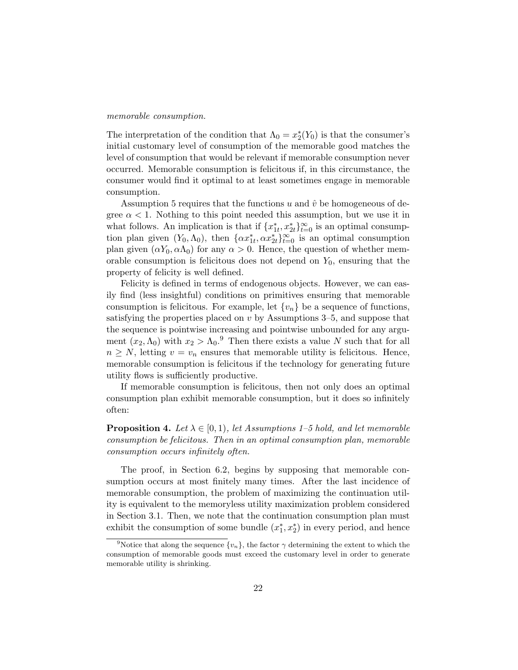#### memorable consumption.

The interpretation of the condition that  $\Lambda_0 = x_2^*(Y_0)$  is that the consumer's initial customary level of consumption of the memorable good matches the level of consumption that would be relevant if memorable consumption never occurred. Memorable consumption is felicitous if, in this circumstance, the consumer would find it optimal to at least sometimes engage in memorable consumption.

Assumption 5 requires that the functions u and  $\hat{v}$  be homogeneous of degree  $\alpha < 1$ . Nothing to this point needed this assumption, but we use it in what follows. An implication is that if  $\{x_{1t}^*, x_{2t}^*\}_{t=0}^\infty$  is an optimal consumption plan given  $(Y_0, \Lambda_0)$ , then  $\{\alpha x_{1t}^*, \alpha x_{2t}^*\}_{t=0}^\infty$  is an optimal consumption plan given  $(\alpha Y_0, \alpha \Lambda_0)$  for any  $\alpha > 0$ . Hence, the question of whether memorable consumption is felicitous does not depend on  $Y_0$ , ensuring that the property of felicity is well defined.

Felicity is defined in terms of endogenous objects. However, we can easily find (less insightful) conditions on primitives ensuring that memorable consumption is felicitous. For example, let  $\{v_n\}$  be a sequence of functions, satisfying the properties placed on  $v$  by Assumptions 3–5, and suppose that the sequence is pointwise increasing and pointwise unbounded for any argument  $(x_2, \Lambda_0)$  with  $x_2 > \Lambda_0$ .<sup>9</sup> Then there exists a value N such that for all  $n \geq N$ , letting  $v = v_n$  ensures that memorable utility is felicitous. Hence, memorable consumption is felicitous if the technology for generating future utility flows is sufficiently productive.

If memorable consumption is felicitous, then not only does an optimal consumption plan exhibit memorable consumption, but it does so infinitely often:

**Proposition 4.** Let  $\lambda \in [0, 1)$ , let Assumptions 1–5 hold, and let memorable consumption be felicitous. Then in an optimal consumption plan, memorable consumption occurs infinitely often.

The proof, in Section 6.2, begins by supposing that memorable consumption occurs at most finitely many times. After the last incidence of memorable consumption, the problem of maximizing the continuation utility is equivalent to the memoryless utility maximization problem considered in Section 3.1. Then, we note that the continuation consumption plan must exhibit the consumption of some bundle  $(x_1^*, x_2^*)$  in every period, and hence

<sup>&</sup>lt;sup>9</sup>Notice that along the sequence  $\{v_n\}$ , the factor  $\gamma$  determining the extent to which the consumption of memorable goods must exceed the customary level in order to generate memorable utility is shrinking.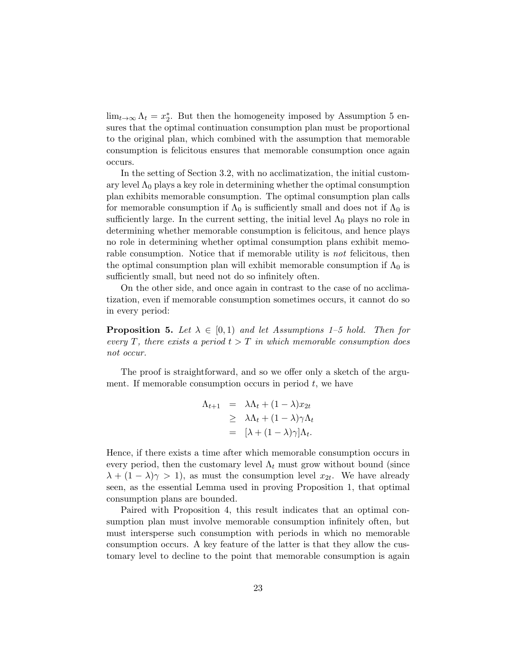$\lim_{t\to\infty} \Lambda_t = x_2^*$ . But then the homogeneity imposed by Assumption 5 ensures that the optimal continuation consumption plan must be proportional to the original plan, which combined with the assumption that memorable consumption is felicitous ensures that memorable consumption once again occurs.

In the setting of Section 3.2, with no acclimatization, the initial customary level  $\Lambda_0$  plays a key role in determining whether the optimal consumption plan exhibits memorable consumption. The optimal consumption plan calls for memorable consumption if  $\Lambda_0$  is sufficiently small and does not if  $\Lambda_0$  is sufficiently large. In the current setting, the initial level  $\Lambda_0$  plays no role in determining whether memorable consumption is felicitous, and hence plays no role in determining whether optimal consumption plans exhibit memorable consumption. Notice that if memorable utility is *not* felicitous, then the optimal consumption plan will exhibit memorable consumption if  $\Lambda_0$  is sufficiently small, but need not do so infinitely often.

On the other side, and once again in contrast to the case of no acclimatization, even if memorable consumption sometimes occurs, it cannot do so in every period:

**Proposition 5.** Let  $\lambda \in [0, 1)$  and let Assumptions 1–5 hold. Then for every T, there exists a period  $t > T$  in which memorable consumption does not occur.

The proof is straightforward, and so we offer only a sketch of the argument. If memorable consumption occurs in period  $t$ , we have

$$
\begin{array}{rcl}\n\Lambda_{t+1} & = & \lambda \Lambda_t + (1 - \lambda)x_{2t} \\
& \geq & \lambda \Lambda_t + (1 - \lambda)\gamma \Lambda_t \\
& = & [\lambda + (1 - \lambda)\gamma] \Lambda_t.\n\end{array}
$$

Hence, if there exists a time after which memorable consumption occurs in every period, then the customary level  $\Lambda_t$  must grow without bound (since  $\lambda + (1 - \lambda)\gamma > 1$ , as must the consumption level  $x_{2t}$ . We have already seen, as the essential Lemma used in proving Proposition 1, that optimal consumption plans are bounded.

Paired with Proposition 4, this result indicates that an optimal consumption plan must involve memorable consumption infinitely often, but must intersperse such consumption with periods in which no memorable consumption occurs. A key feature of the latter is that they allow the customary level to decline to the point that memorable consumption is again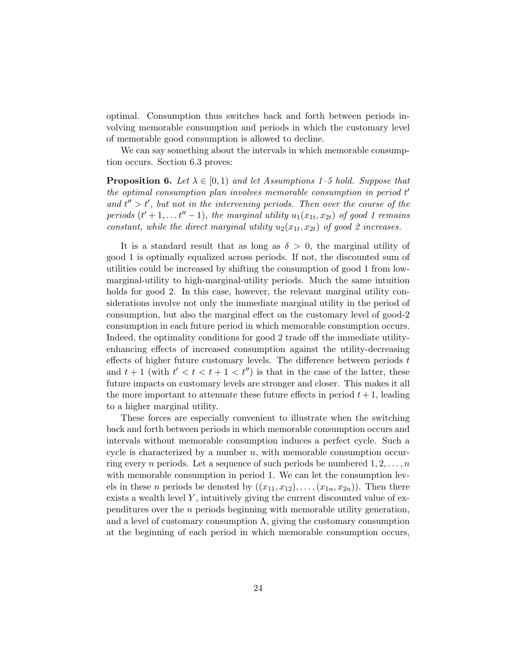optimal. Consumption thus switches back and forth between periods involving memorable consumption and periods in which the customary level of memorable good consumption is allowed to decline.

We can say something about the intervals in which memorable consumption occurs. Section 6.3 proves:

**Proposition 6.** Let  $\lambda \in [0,1]$  and let Assumptions 1–5 hold. Suppose that the optimal consumption plan involves memorable consumption in period  $t'$ and  $t'' > t'$ , but not in the intervening periods. Then over the course of the periods  $(t' + 1, \ldots t'' - 1)$ , the marginal utility  $u_1(x_{1t}, x_{2t})$  of good 1 remains constant, while the direct marginal utility  $u_2(x_{1t}, x_{2t})$  of good 2 increases.

It is a standard result that as long as  $\delta > 0$ , the marginal utility of good 1 is optimally equalized across periods. If not, the discounted sum of utilities could be increased by shifting the consumption of good 1 from lowmarginal-utility to high-marginal-utility periods. Much the same intuition holds for good 2. In this case, however, the relevant marginal utility considerations involve not only the immediate marginal utility in the period of consumption, but also the marginal effect on the customary level of good-2 consumption in each future period in which memorable consumption occurs. Indeed, the optimality conditions for good 2 trade off the immediate utilityenhancing effects of increased consumption against the utility-decreasing effects of higher future customary levels. The difference between periods  $t$ and  $t+1$  (with  $t' < t < t+1 < t''$ ) is that in the case of the latter, these future impacts on customary levels are stronger and closer. This makes it all the more important to attenuate these future effects in period  $t + 1$ , leading to a higher marginal utility.

These forces are especially convenient to illustrate when the switching back and forth between periods in which memorable consumption occurs and intervals without memorable consumption induces a perfect cycle. Such a cycle is characterized by a number  $n$ , with memorable consumption occurring every n periods. Let a sequence of such periods be numbered  $1, 2, \ldots, n$ with memorable consumption in period 1. We can let the consumption levels in these *n* periods be denoted by  $((x_{11}, x_{12}), \ldots, (x_{1n}, x_{2n}))$ . Then there exists a wealth level  $Y$ , intuitively giving the current discounted value of expenditures over the  $n$  periods beginning with memorable utility generation, and a level of customary consumption  $\Lambda$ , giving the customary consumption at the beginning of each period in which memorable consumption occurs,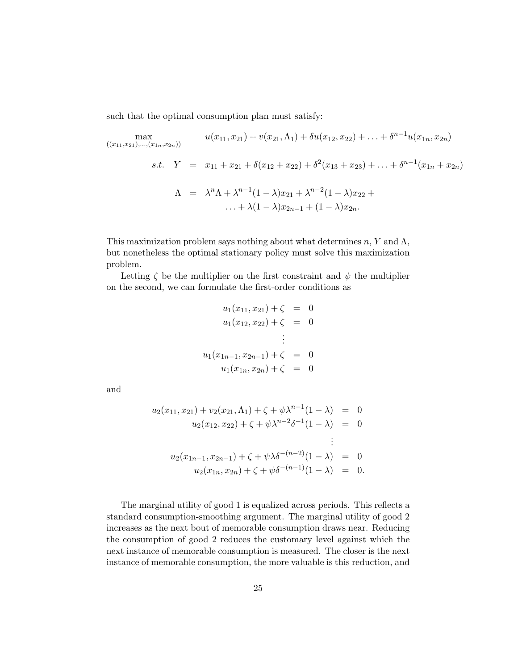such that the optimal consumption plan must satisfy:

$$
\max_{((x_{11}, x_{21}), \dots, (x_{1n}, x_{2n}))} u(x_{11}, x_{21}) + v(x_{21}, \Lambda_1) + \delta u(x_{12}, x_{22}) + \dots + \delta^{n-1} u(x_{1n}, x_{2n})
$$
  
s.t.  $Y = x_{11} + x_{21} + \delta(x_{12} + x_{22}) + \delta^2(x_{13} + x_{23}) + \dots + \delta^{n-1}(x_{1n} + x_{2n})$   

$$
\Lambda = \lambda^n \Lambda + \lambda^{n-1} (1 - \lambda) x_{21} + \lambda^{n-2} (1 - \lambda) x_{22} + \dots + \lambda (1 - \lambda) x_{2n-1} + (1 - \lambda) x_{2n}.
$$

This maximization problem says nothing about what determines  $n, Y$  and  $\Lambda$ , but nonetheless the optimal stationary policy must solve this maximization problem.

Letting  $\zeta$  be the multiplier on the first constraint and  $\psi$  the multiplier on the second, we can formulate the first-order conditions as

$$
u_1(x_{11}, x_{21}) + \zeta = 0
$$
  
\n
$$
u_1(x_{12}, x_{22}) + \zeta = 0
$$
  
\n
$$
\vdots
$$
  
\n
$$
u_1(x_{1n-1}, x_{2n-1}) + \zeta = 0
$$
  
\n
$$
u_1(x_{1n}, x_{2n}) + \zeta = 0
$$

and

$$
u_2(x_{11}, x_{21}) + v_2(x_{21}, \Lambda_1) + \zeta + \psi \lambda^{n-1} (1 - \lambda) = 0
$$
  
\n
$$
u_2(x_{12}, x_{22}) + \zeta + \psi \lambda^{n-2} \delta^{-1} (1 - \lambda) = 0
$$
  
\n
$$
\vdots
$$
  
\n
$$
u_2(x_{1n-1}, x_{2n-1}) + \zeta + \psi \lambda \delta^{-(n-2)} (1 - \lambda) = 0
$$
  
\n
$$
u_2(x_{1n}, x_{2n}) + \zeta + \psi \delta^{-(n-1)} (1 - \lambda) = 0.
$$

The marginal utility of good 1 is equalized across periods. This reflects a standard consumption-smoothing argument. The marginal utility of good 2 increases as the next bout of memorable consumption draws near. Reducing the consumption of good 2 reduces the customary level against which the next instance of memorable consumption is measured. The closer is the next instance of memorable consumption, the more valuable is this reduction, and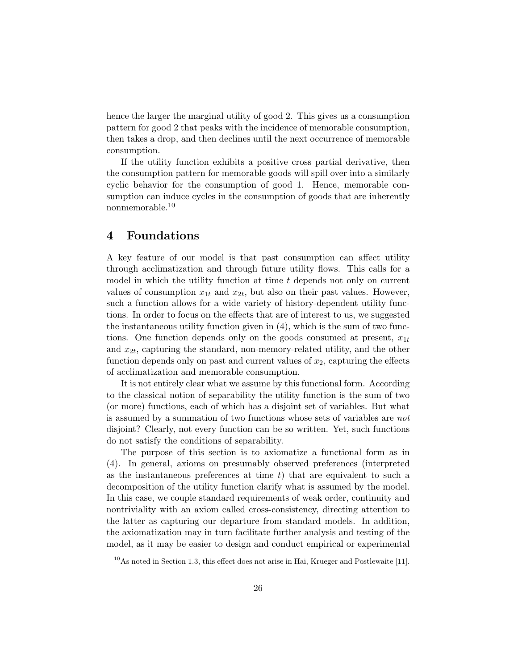hence the larger the marginal utility of good 2. This gives us a consumption pattern for good 2 that peaks with the incidence of memorable consumption, then takes a drop, and then declines until the next occurrence of memorable consumption.

If the utility function exhibits a positive cross partial derivative, then the consumption pattern for memorable goods will spill over into a similarly cyclic behavior for the consumption of good 1. Hence, memorable consumption can induce cycles in the consumption of goods that are inherently nonmemorable.<sup>10</sup>

## 4 Foundations

A key feature of our model is that past consumption can affect utility through acclimatization and through future utility flows. This calls for a model in which the utility function at time  $t$  depends not only on current values of consumption  $x_{1t}$  and  $x_{2t}$ , but also on their past values. However, such a function allows for a wide variety of history-dependent utility functions. In order to focus on the effects that are of interest to us, we suggested the instantaneous utility function given in (4), which is the sum of two functions. One function depends only on the goods consumed at present,  $x_{1t}$ and  $x_{2t}$ , capturing the standard, non-memory-related utility, and the other function depends only on past and current values of  $x_2$ , capturing the effects of acclimatization and memorable consumption.

It is not entirely clear what we assume by this functional form. According to the classical notion of separability the utility function is the sum of two (or more) functions, each of which has a disjoint set of variables. But what is assumed by a summation of two functions whose sets of variables are not disjoint? Clearly, not every function can be so written. Yet, such functions do not satisfy the conditions of separability.

The purpose of this section is to axiomatize a functional form as in (4). In general, axioms on presumably observed preferences (interpreted as the instantaneous preferences at time  $t$ ) that are equivalent to such a decomposition of the utility function clarify what is assumed by the model. In this case, we couple standard requirements of weak order, continuity and nontriviality with an axiom called cross-consistency, directing attention to the latter as capturing our departure from standard models. In addition, the axiomatization may in turn facilitate further analysis and testing of the model, as it may be easier to design and conduct empirical or experimental

 $10$ As noted in Section 1.3, this effect does not arise in Hai, Krueger and Postlewaite [11].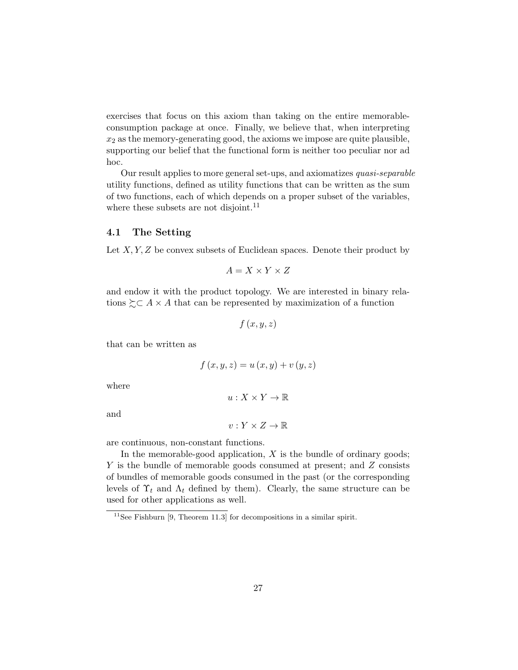exercises that focus on this axiom than taking on the entire memorableconsumption package at once. Finally, we believe that, when interpreting  $x_2$  as the memory-generating good, the axioms we impose are quite plausible, supporting our belief that the functional form is neither too peculiar nor ad hoc.

Our result applies to more general set-ups, and axiomatizes quasi-separable utility functions, defined as utility functions that can be written as the sum of two functions, each of which depends on a proper subset of the variables, where these subsets are not disjoint.<sup>11</sup>

## 4.1 The Setting

Let  $X, Y, Z$  be convex subsets of Euclidean spaces. Denote their product by

$$
A=X\times Y\times Z
$$

and endow it with the product topology. We are interested in binary relations  $\sum_{n=1}^{\infty}$  A × A that can be represented by maximization of a function

$$
f(x,y,z)
$$

that can be written as

$$
f(x, y, z) = u(x, y) + v(y, z)
$$

 $u: X \times Y \to \mathbb{R}$ 

where

and

$$
v: Y \times Z \to \mathbb{R}
$$

are continuous, non-constant functions.

In the memorable-good application,  $X$  is the bundle of ordinary goods; Y is the bundle of memorable goods consumed at present; and Z consists of bundles of memorable goods consumed in the past (or the corresponding levels of  $\Upsilon_t$  and  $\Lambda_t$  defined by them). Clearly, the same structure can be used for other applications as well.

<sup>&</sup>lt;sup>11</sup>See Fishburn [9, Theorem 11.3] for decompositions in a similar spirit.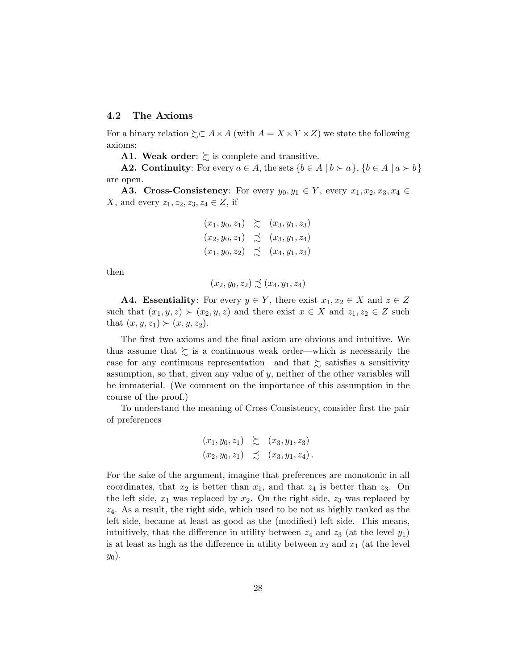## 4.2 The Axioms

For a binary relation  $\succsim \subset A \times A$  (with  $A = X \times Y \times Z$ ) we state the following axioms:

A1. Weak order:  $\succsim$  is complete and transitive.

**A2.** Continuity: For every  $a \in A$ , the sets  $\{b \in A \mid b \succ a\}$ ,  $\{b \in A \mid a \succ b\}$ are open.

A3. Cross-Consistency: For every  $y_0, y_1 \in Y$ , every  $x_1, x_2, x_3, x_4 \in Y$ X, and every  $z_1, z_2, z_3, z_4 \in Z$ , if

$$
(x_1, y_0, z_1) \geq (x_3, y_1, z_3)
$$
  
\n $(x_2, y_0, z_1) \leq (x_3, y_1, z_4)$   
\n $(x_1, y_0, z_2) \leq (x_4, y_1, z_3)$ 

then

 $(x_2, y_0, z_2) \preceq (x_4, y_1, z_4)$ 

**A4. Essentiality:** For every  $y \in Y$ , there exist  $x_1, x_2 \in X$  and  $z \in Z$ such that  $(x_1, y, z) \succ (x_2, y, z)$  and there exist  $x \in X$  and  $z_1, z_2 \in Z$  such that  $(x, y, z_1) \succ (x, y, z_2)$ .

The first two axioms and the final axiom are obvious and intuitive. We thus assume that  $\geq$  is a continuous weak order—which is necessarily the case for any continuous representation—and that  $\succeq$  satisfies a sensitivity assumption, so that, given any value of y, neither of the other variables will be immaterial. (We comment on the importance of this assumption in the course of the proof.)

To understand the meaning of Cross-Consistency, consider first the pair of preferences

$$
(x_1, y_0, z_1) \succeq (x_3, y_1, z_3)
$$
  
 $(x_2, y_0, z_1) \preceq (x_3, y_1, z_4).$ 

For the sake of the argument, imagine that preferences are monotonic in all coordinates, that  $x_2$  is better than  $x_1$ , and that  $z_4$  is better than  $z_3$ . On the left side,  $x_1$  was replaced by  $x_2$ . On the right side,  $z_3$  was replaced by  $z_4$ . As a result, the right side, which used to be not as highly ranked as the left side, became at least as good as the (modified) left side. This means, intuitively, that the difference in utility between  $z_4$  and  $z_3$  (at the level  $y_1$ ) is at least as high as the difference in utility between  $x_2$  and  $x_1$  (at the level  $y_0$ ).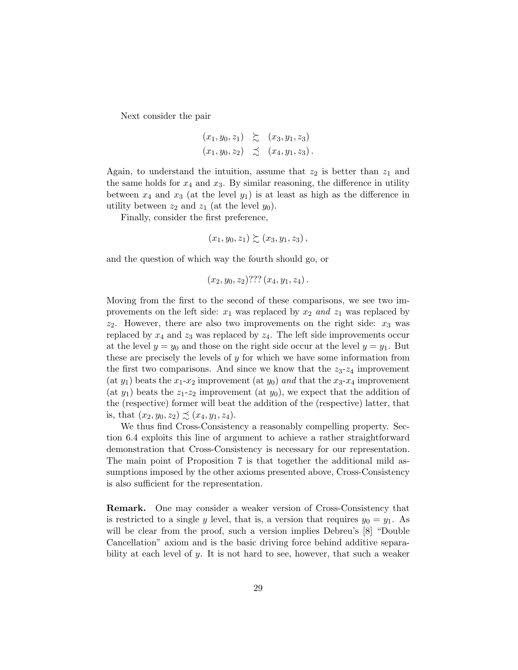Next consider the pair

$$
(x_1, y_0, z_1) \geq (x_3, y_1, z_3)
$$
  
 $(x_1, y_0, z_2) \geq (x_4, y_1, z_3).$ 

Again, to understand the intuition, assume that  $z_2$  is better than  $z_1$  and the same holds for  $x_4$  and  $x_3$ . By similar reasoning, the difference in utility between  $x_4$  and  $x_3$  (at the level  $y_1$ ) is at least as high as the difference in utility between  $z_2$  and  $z_1$  (at the level  $y_0$ ).

Finally, consider the first preference,

$$
(x_1,y_0,z_1)\succsim(x_3,y_1,z_3),
$$

and the question of which way the fourth should go, or

$$
(x_2, y_0, z_2)
$$
???  $(x_4, y_1, z_4)$ .

Moving from the first to the second of these comparisons, we see two improvements on the left side:  $x_1$  was replaced by  $x_2$  and  $z_1$  was replaced by  $z_2$ . However, there are also two improvements on the right side:  $x_3$  was replaced by  $x_4$  and  $z_3$  was replaced by  $z_4$ . The left side improvements occur at the level  $y = y_0$  and those on the right side occur at the level  $y = y_1$ . But these are precisely the levels of y for which we have some information from the first two comparisons. And since we know that the  $z_3-z_4$  improvement (at  $y_1$ ) beats the  $x_1-x_2$  improvement (at  $y_0$ ) and that the  $x_3-x_4$  improvement (at  $y_1$ ) beats the  $z_1-z_2$  improvement (at  $y_0$ ), we expect that the addition of the (respective) former will beat the addition of the (respective) latter, that is, that  $(x_2, y_0, z_2) \precsim (x_4, y_1, z_4)$ .

We thus find Cross-Consistency a reasonably compelling property. Section 6.4 exploits this line of argument to achieve a rather straightforward demonstration that Cross-Consistency is necessary for our representation. The main point of Proposition 7 is that together the additional mild assumptions imposed by the other axioms presented above, Cross-Consistency is also sufficient for the representation.

Remark. One may consider a weaker version of Cross-Consistency that is restricted to a single y level, that is, a version that requires  $y_0 = y_1$ . As will be clear from the proof, such a version implies Debreu's [8] "Double" Cancellation" axiom and is the basic driving force behind additive separability at each level of y. It is not hard to see, however, that such a weaker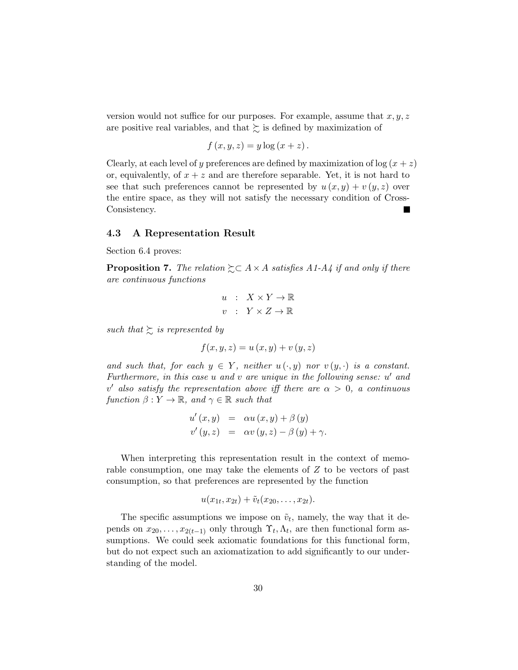version would not suffice for our purposes. For example, assume that  $x, y, z$ are positive real variables, and that  $\succsim$  is defined by maximization of

$$
f(x, y, z) = y \log (x + z).
$$

Clearly, at each level of y preferences are defined by maximization of  $\log (x + z)$ or, equivalently, of  $x + z$  and are therefore separable. Yet, it is not hard to see that such preferences cannot be represented by  $u(x, y) + v(y, z)$  over the entire space, as they will not satisfy the necessary condition of Cross-Consistency.

## 4.3 A Representation Result

Section 6.4 proves:

**Proposition 7.** The relation  $\succsim \subset A \times A$  satisfies A1-A4 if and only if there are continuous functions

$$
u : X \times Y \to \mathbb{R}
$$
  

$$
v : Y \times Z \to \mathbb{R}
$$

such that  $\sum$  is represented by

$$
f(x, y, z) = u(x, y) + v(y, z)
$$

and such that, for each  $y \in Y$ , neither  $u(\cdot, y)$  nor  $v(y, \cdot)$  is a constant. Furthermore, in this case  $u$  and  $v$  are unique in the following sense:  $u'$  and v' also satisfy the representation above iff there are  $\alpha > 0$ , a continuous function  $\beta: Y \to \mathbb{R}$ , and  $\gamma \in \mathbb{R}$  such that

$$
u'(x, y) = \alpha u(x, y) + \beta(y)
$$
  
\n
$$
v'(y, z) = \alpha v(y, z) - \beta(y) + \gamma.
$$

When interpreting this representation result in the context of memorable consumption, one may take the elements of Z to be vectors of past consumption, so that preferences are represented by the function

$$
u(x_{1t},x_{2t})+\tilde{v}_t(x_{20},\ldots,x_{2t}).
$$

The specific assumptions we impose on  $\tilde{v}_t$ , namely, the way that it depends on  $x_{20}, \ldots, x_{2(t-1)}$  only through  $\Upsilon_t, \Lambda_t$ , are then functional form assumptions. We could seek axiomatic foundations for this functional form, but do not expect such an axiomatization to add significantly to our understanding of the model.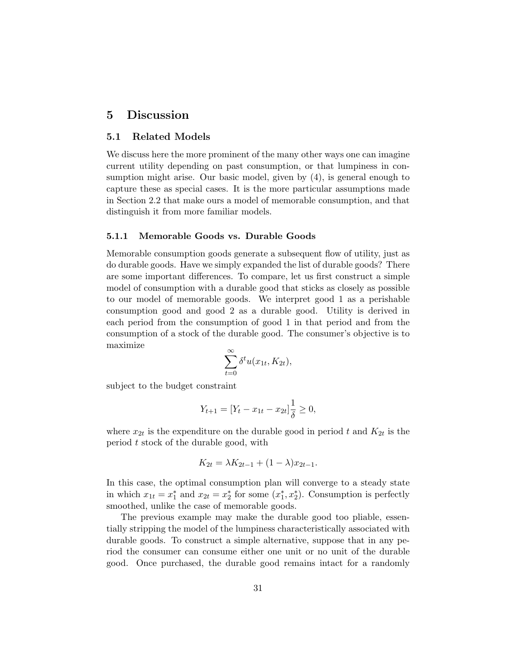## 5 Discussion

## 5.1 Related Models

We discuss here the more prominent of the many other ways one can imagine current utility depending on past consumption, or that lumpiness in consumption might arise. Our basic model, given by (4), is general enough to capture these as special cases. It is the more particular assumptions made in Section 2.2 that make ours a model of memorable consumption, and that distinguish it from more familiar models.

#### 5.1.1 Memorable Goods vs. Durable Goods

Memorable consumption goods generate a subsequent flow of utility, just as do durable goods. Have we simply expanded the list of durable goods? There are some important differences. To compare, let us first construct a simple model of consumption with a durable good that sticks as closely as possible to our model of memorable goods. We interpret good 1 as a perishable consumption good and good 2 as a durable good. Utility is derived in each period from the consumption of good 1 in that period and from the consumption of a stock of the durable good. The consumer's objective is to maximize

$$
\sum_{t=0}^{\infty} \delta^t u(x_{1t}, K_{2t}),
$$

subject to the budget constraint

$$
Y_{t+1} = [Y_t - x_{1t} - x_{2t}] \frac{1}{\delta} \ge 0,
$$

where  $x_{2t}$  is the expenditure on the durable good in period t and  $K_{2t}$  is the period  $t$  stock of the durable good, with

$$
K_{2t} = \lambda K_{2t-1} + (1 - \lambda)x_{2t-1}.
$$

In this case, the optimal consumption plan will converge to a steady state in which  $x_{1t} = x_1^*$  and  $x_{2t} = x_2^*$  for some  $(x_1^*, x_2^*)$ . Consumption is perfectly smoothed, unlike the case of memorable goods.

The previous example may make the durable good too pliable, essentially stripping the model of the lumpiness characteristically associated with durable goods. To construct a simple alternative, suppose that in any period the consumer can consume either one unit or no unit of the durable good. Once purchased, the durable good remains intact for a randomly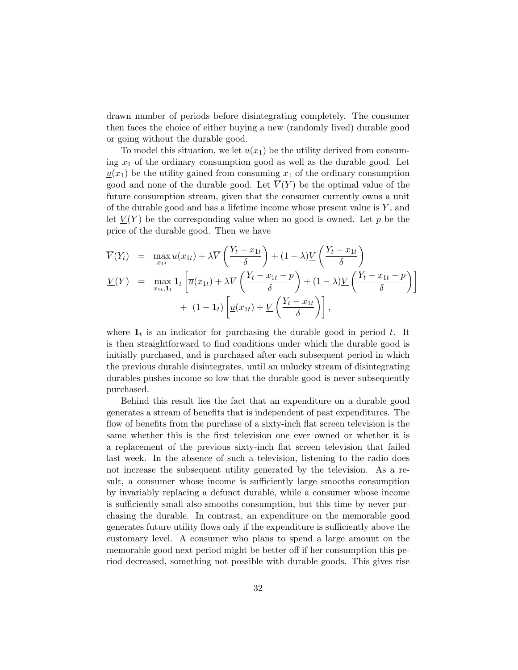drawn number of periods before disintegrating completely. The consumer then faces the choice of either buying a new (randomly lived) durable good or going without the durable good.

To model this situation, we let  $\overline{u}(x_1)$  be the utility derived from consuming  $x_1$  of the ordinary consumption good as well as the durable good. Let  $u(x_1)$  be the utility gained from consuming  $x_1$  of the ordinary consumption good and none of the durable good. Let  $\overline{V}(Y)$  be the optimal value of the future consumption stream, given that the consumer currently owns a unit of the durable good and has a lifetime income whose present value is  $Y$ , and let  $V(Y)$  be the corresponding value when no good is owned. Let p be the price of the durable good. Then we have

$$
\overline{V}(Y_t) = \max_{x_{1t}} \overline{u}(x_{1t}) + \lambda \overline{V} \left( \frac{Y_t - x_{1t}}{\delta} \right) + (1 - \lambda) \underline{V} \left( \frac{Y_t - x_{1t}}{\delta} \right)
$$
  

$$
\underline{V}(Y) = \max_{x_{1t}, \mathbf{1}_t} \mathbf{1}_t \left[ \overline{u}(x_{1t}) + \lambda \overline{V} \left( \frac{Y_t - x_{1t} - p}{\delta} \right) + (1 - \lambda) \underline{V} \left( \frac{Y_t - x_{1t} - p}{\delta} \right) \right]
$$
  

$$
+ (1 - \mathbf{1}_t) \left[ \underline{u}(x_{1t}) + \underline{V} \left( \frac{Y_t - x_{1t}}{\delta} \right) \right],
$$

where  $\mathbf{1}_t$  is an indicator for purchasing the durable good in period t. It is then straightforward to find conditions under which the durable good is initially purchased, and is purchased after each subsequent period in which the previous durable disintegrates, until an unlucky stream of disintegrating durables pushes income so low that the durable good is never subsequently purchased.

Behind this result lies the fact that an expenditure on a durable good generates a stream of benefits that is independent of past expenditures. The flow of benefits from the purchase of a sixty-inch flat screen television is the same whether this is the first television one ever owned or whether it is a replacement of the previous sixty-inch flat screen television that failed last week. In the absence of such a television, listening to the radio does not increase the subsequent utility generated by the television. As a result, a consumer whose income is sufficiently large smooths consumption by invariably replacing a defunct durable, while a consumer whose income is sufficiently small also smooths consumption, but this time by never purchasing the durable. In contrast, an expenditure on the memorable good generates future utility flows only if the expenditure is sufficiently above the customary level. A consumer who plans to spend a large amount on the memorable good next period might be better off if her consumption this period decreased, something not possible with durable goods. This gives rise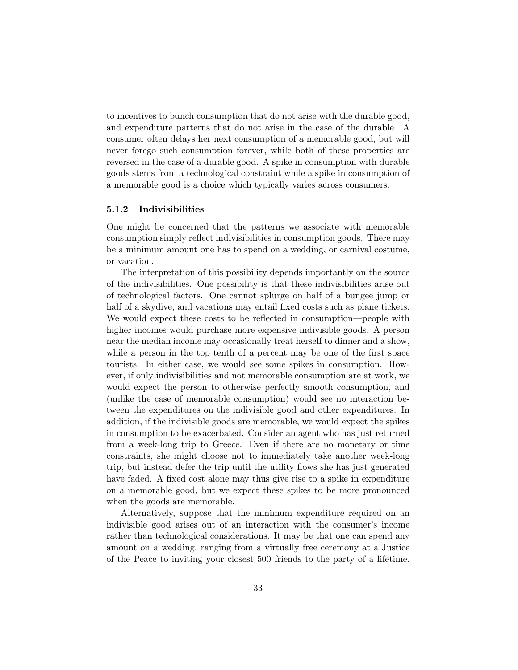to incentives to bunch consumption that do not arise with the durable good, and expenditure patterns that do not arise in the case of the durable. A consumer often delays her next consumption of a memorable good, but will never forego such consumption forever, while both of these properties are reversed in the case of a durable good. A spike in consumption with durable goods stems from a technological constraint while a spike in consumption of a memorable good is a choice which typically varies across consumers.

## 5.1.2 Indivisibilities

One might be concerned that the patterns we associate with memorable consumption simply reflect indivisibilities in consumption goods. There may be a minimum amount one has to spend on a wedding, or carnival costume, or vacation.

The interpretation of this possibility depends importantly on the source of the indivisibilities. One possibility is that these indivisibilities arise out of technological factors. One cannot splurge on half of a bungee jump or half of a skydive, and vacations may entail fixed costs such as plane tickets. We would expect these costs to be reflected in consumption—people with higher incomes would purchase more expensive indivisible goods. A person near the median income may occasionally treat herself to dinner and a show, while a person in the top tenth of a percent may be one of the first space tourists. In either case, we would see some spikes in consumption. However, if only indivisibilities and not memorable consumption are at work, we would expect the person to otherwise perfectly smooth consumption, and (unlike the case of memorable consumption) would see no interaction between the expenditures on the indivisible good and other expenditures. In addition, if the indivisible goods are memorable, we would expect the spikes in consumption to be exacerbated. Consider an agent who has just returned from a week-long trip to Greece. Even if there are no monetary or time constraints, she might choose not to immediately take another week-long trip, but instead defer the trip until the utility flows she has just generated have faded. A fixed cost alone may thus give rise to a spike in expenditure on a memorable good, but we expect these spikes to be more pronounced when the goods are memorable.

Alternatively, suppose that the minimum expenditure required on an indivisible good arises out of an interaction with the consumer's income rather than technological considerations. It may be that one can spend any amount on a wedding, ranging from a virtually free ceremony at a Justice of the Peace to inviting your closest 500 friends to the party of a lifetime.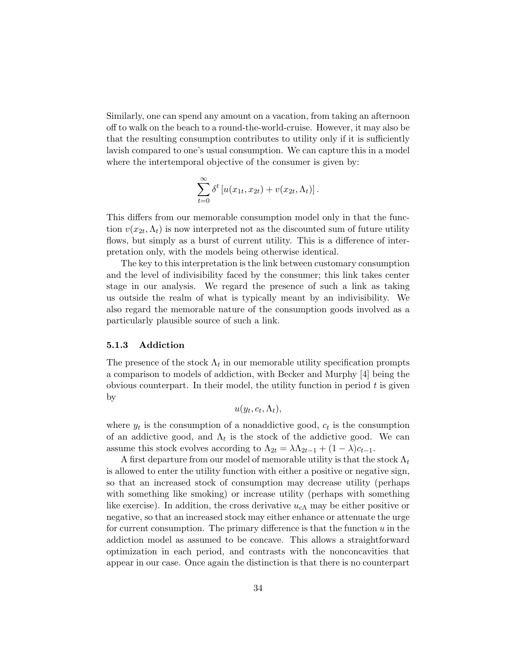Similarly, one can spend any amount on a vacation, from taking an afternoon off to walk on the beach to a round-the-world-cruise. However, it may also be that the resulting consumption contributes to utility only if it is sufficiently lavish compared to one's usual consumption. We can capture this in a model where the intertemporal objective of the consumer is given by:

$$
\sum_{t=0}^{\infty} \delta^t \left[ u(x_{1t}, x_{2t}) + v(x_{2t}, \Lambda_t) \right].
$$

This differs from our memorable consumption model only in that the function  $v(x_{2t}, \Lambda_t)$  is now interpreted not as the discounted sum of future utility flows, but simply as a burst of current utility. This is a difference of interpretation only, with the models being otherwise identical.

The key to this interpretation is the link between customary consumption and the level of indivisibility faced by the consumer; this link takes center stage in our analysis. We regard the presence of such a link as taking us outside the realm of what is typically meant by an indivisibility. We also regard the memorable nature of the consumption goods involved as a particularly plausible source of such a link.

#### 5.1.3 Addiction

The presence of the stock  $\Lambda_t$  in our memorable utility specification prompts a comparison to models of addiction, with Becker and Murphy [4] being the obvious counterpart. In their model, the utility function in period  $t$  is given by

$$
u(y_t, c_t, \Lambda_t),
$$

where  $y_t$  is the consumption of a nonaddictive good,  $c_t$  is the consumption of an addictive good, and  $\Lambda_t$  is the stock of the addictive good. We can assume this stock evolves according to  $\Lambda_{2t} = \lambda \Lambda_{2t-1} + (1 - \lambda)c_{t-1}$ .

A first departure from our model of memorable utility is that the stock  $\Lambda_t$ is allowed to enter the utility function with either a positive or negative sign, so that an increased stock of consumption may decrease utility (perhaps with something like smoking) or increase utility (perhaps with something like exercise). In addition, the cross derivative  $u_{c\Lambda}$  may be either positive or negative, so that an increased stock may either enhance or attenuate the urge for current consumption. The primary difference is that the function  $u$  in the addiction model as assumed to be concave. This allows a straightforward optimization in each period, and contrasts with the nonconcavities that appear in our case. Once again the distinction is that there is no counterpart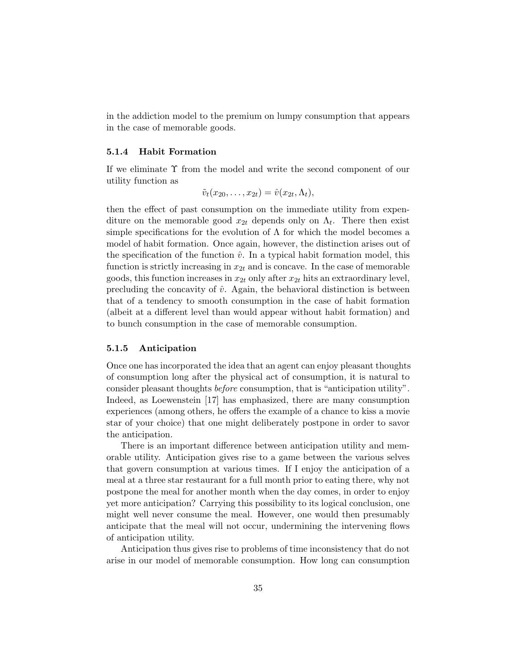in the addiction model to the premium on lumpy consumption that appears in the case of memorable goods.

#### 5.1.4 Habit Formation

If we eliminate Υ from the model and write the second component of our utility function as

$$
\tilde{v}_t(x_{20},\ldots,x_{2t})=\hat{v}(x_{2t},\Lambda_t),
$$

then the effect of past consumption on the immediate utility from expenditure on the memorable good  $x_{2t}$  depends only on  $\Lambda_t$ . There then exist simple specifications for the evolution of  $\Lambda$  for which the model becomes a model of habit formation. Once again, however, the distinction arises out of the specification of the function  $\hat{v}$ . In a typical habit formation model, this function is strictly increasing in  $x_{2t}$  and is concave. In the case of memorable goods, this function increases in  $x_{2t}$  only after  $x_{2t}$  hits an extraordinary level, precluding the concavity of  $\hat{v}$ . Again, the behavioral distinction is between that of a tendency to smooth consumption in the case of habit formation (albeit at a different level than would appear without habit formation) and to bunch consumption in the case of memorable consumption.

## 5.1.5 Anticipation

Once one has incorporated the idea that an agent can enjoy pleasant thoughts of consumption long after the physical act of consumption, it is natural to consider pleasant thoughts before consumption, that is "anticipation utility". Indeed, as Loewenstein [17] has emphasized, there are many consumption experiences (among others, he offers the example of a chance to kiss a movie star of your choice) that one might deliberately postpone in order to savor the anticipation.

There is an important difference between anticipation utility and memorable utility. Anticipation gives rise to a game between the various selves that govern consumption at various times. If I enjoy the anticipation of a meal at a three star restaurant for a full month prior to eating there, why not postpone the meal for another month when the day comes, in order to enjoy yet more anticipation? Carrying this possibility to its logical conclusion, one might well never consume the meal. However, one would then presumably anticipate that the meal will not occur, undermining the intervening flows of anticipation utility.

Anticipation thus gives rise to problems of time inconsistency that do not arise in our model of memorable consumption. How long can consumption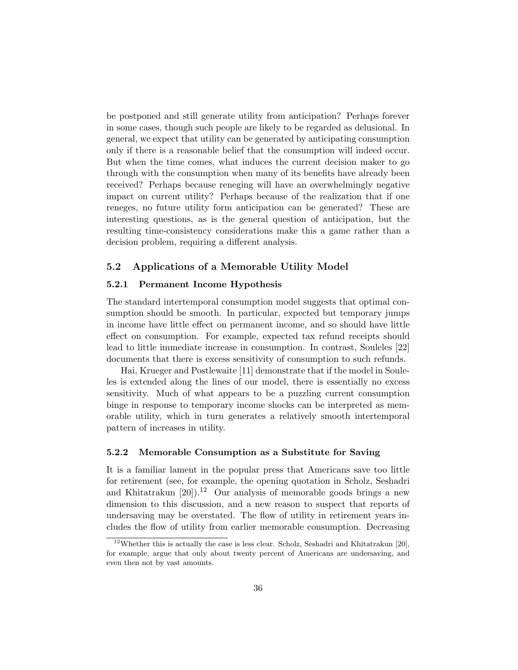be postponed and still generate utility from anticipation? Perhaps forever in some cases, though such people are likely to be regarded as delusional. In general, we expect that utility can be generated by anticipating consumption only if there is a reasonable belief that the consumption will indeed occur. But when the time comes, what induces the current decision maker to go through with the consumption when many of its benefits have already been received? Perhaps because reneging will have an overwhelmingly negative impact on current utility? Perhaps because of the realization that if one reneges, no future utility form anticipation can be generated? These are interesting questions, as is the general question of anticipation, but the resulting time-consistency considerations make this a game rather than a decision problem, requiring a different analysis.

## 5.2 Applications of a Memorable Utility Model

## 5.2.1 Permanent Income Hypothesis

The standard intertemporal consumption model suggests that optimal consumption should be smooth. In particular, expected but temporary jumps in income have little effect on permanent income, and so should have little effect on consumption. For example, expected tax refund receipts should lead to little immediate increase in consumption. In contrast, Souleles [22] documents that there is excess sensitivity of consumption to such refunds.

Hai, Krueger and Postlewaite [11] demonstrate that if the model in Souleles is extended along the lines of our model, there is essentially no excess sensitivity. Much of what appears to be a puzzling current consumption binge in response to temporary income shocks can be interpreted as memorable utility, which in turn generates a relatively smooth intertemporal pattern of increases in utility.

## 5.2.2 Memorable Consumption as a Substitute for Saving

It is a familiar lament in the popular press that Americans save too little for retirement (see, for example, the opening quotation in Scholz, Seshadri and Khitatrakun  $[20]$ .<sup>12</sup> Our analysis of memorable goods brings a new dimension to this discussion, and a new reason to suspect that reports of undersaving may be overstated. The flow of utility in retirement years includes the flow of utility from earlier memorable consumption. Decreasing

 $12$ Whether this is actually the case is less clear. Scholz, Seshadri and Khitatrakun [20], for example, argue that only about twenty percent of Americans are undersaving, and even then not by vast amounts.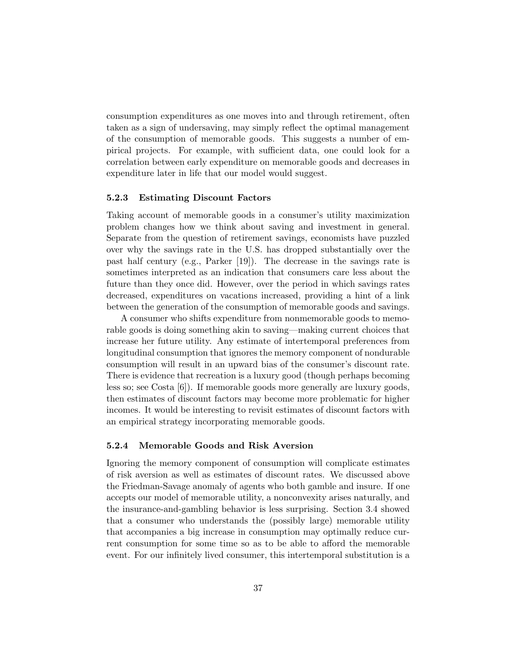consumption expenditures as one moves into and through retirement, often taken as a sign of undersaving, may simply reflect the optimal management of the consumption of memorable goods. This suggests a number of empirical projects. For example, with sufficient data, one could look for a correlation between early expenditure on memorable goods and decreases in expenditure later in life that our model would suggest.

#### 5.2.3 Estimating Discount Factors

Taking account of memorable goods in a consumer's utility maximization problem changes how we think about saving and investment in general. Separate from the question of retirement savings, economists have puzzled over why the savings rate in the U.S. has dropped substantially over the past half century (e.g., Parker [19]). The decrease in the savings rate is sometimes interpreted as an indication that consumers care less about the future than they once did. However, over the period in which savings rates decreased, expenditures on vacations increased, providing a hint of a link between the generation of the consumption of memorable goods and savings.

A consumer who shifts expenditure from nonmemorable goods to memorable goods is doing something akin to saving—making current choices that increase her future utility. Any estimate of intertemporal preferences from longitudinal consumption that ignores the memory component of nondurable consumption will result in an upward bias of the consumer's discount rate. There is evidence that recreation is a luxury good (though perhaps becoming less so; see Costa [6]). If memorable goods more generally are luxury goods, then estimates of discount factors may become more problematic for higher incomes. It would be interesting to revisit estimates of discount factors with an empirical strategy incorporating memorable goods.

## 5.2.4 Memorable Goods and Risk Aversion

Ignoring the memory component of consumption will complicate estimates of risk aversion as well as estimates of discount rates. We discussed above the Friedman-Savage anomaly of agents who both gamble and insure. If one accepts our model of memorable utility, a nonconvexity arises naturally, and the insurance-and-gambling behavior is less surprising. Section 3.4 showed that a consumer who understands the (possibly large) memorable utility that accompanies a big increase in consumption may optimally reduce current consumption for some time so as to be able to afford the memorable event. For our infinitely lived consumer, this intertemporal substitution is a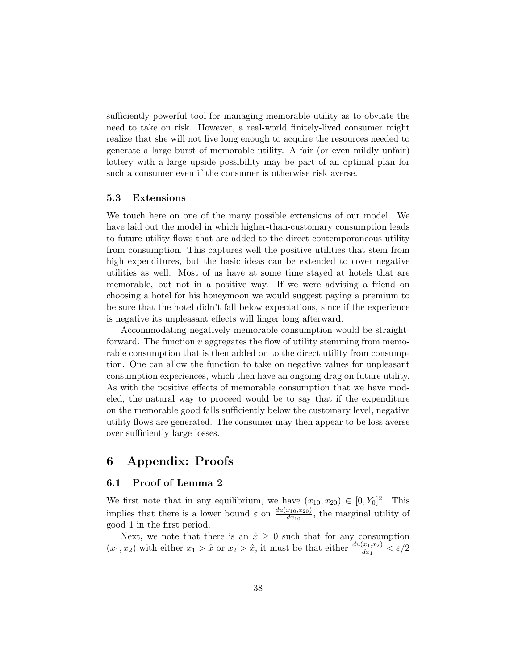sufficiently powerful tool for managing memorable utility as to obviate the need to take on risk. However, a real-world finitely-lived consumer might realize that she will not live long enough to acquire the resources needed to generate a large burst of memorable utility. A fair (or even mildly unfair) lottery with a large upside possibility may be part of an optimal plan for such a consumer even if the consumer is otherwise risk averse.

## 5.3 Extensions

We touch here on one of the many possible extensions of our model. We have laid out the model in which higher-than-customary consumption leads to future utility flows that are added to the direct contemporaneous utility from consumption. This captures well the positive utilities that stem from high expenditures, but the basic ideas can be extended to cover negative utilities as well. Most of us have at some time stayed at hotels that are memorable, but not in a positive way. If we were advising a friend on choosing a hotel for his honeymoon we would suggest paying a premium to be sure that the hotel didn't fall below expectations, since if the experience is negative its unpleasant effects will linger long afterward.

Accommodating negatively memorable consumption would be straightforward. The function  $v$  aggregates the flow of utility stemming from memorable consumption that is then added on to the direct utility from consumption. One can allow the function to take on negative values for unpleasant consumption experiences, which then have an ongoing drag on future utility. As with the positive effects of memorable consumption that we have modeled, the natural way to proceed would be to say that if the expenditure on the memorable good falls sufficiently below the customary level, negative utility flows are generated. The consumer may then appear to be loss averse over sufficiently large losses.

## 6 Appendix: Proofs

## 6.1 Proof of Lemma 2

We first note that in any equilibrium, we have  $(x_{10}, x_{20}) \in [0, Y_0]^2$ . This implies that there is a lower bound  $\varepsilon$  on  $\frac{du(x_{10},x_{20})}{dx_{10}}$  $\frac{x_{10}, x_{20}}{dx_{10}}$ , the marginal utility of good 1 in the first period.

Next, we note that there is an  $\hat{x} \geq 0$  such that for any consumption  $(x_1, x_2)$  with either  $x_1 > \hat{x}$  or  $x_2 > \hat{x}$ , it must be that either  $\frac{du(x_1, x_2)}{dx_1} < \varepsilon/2$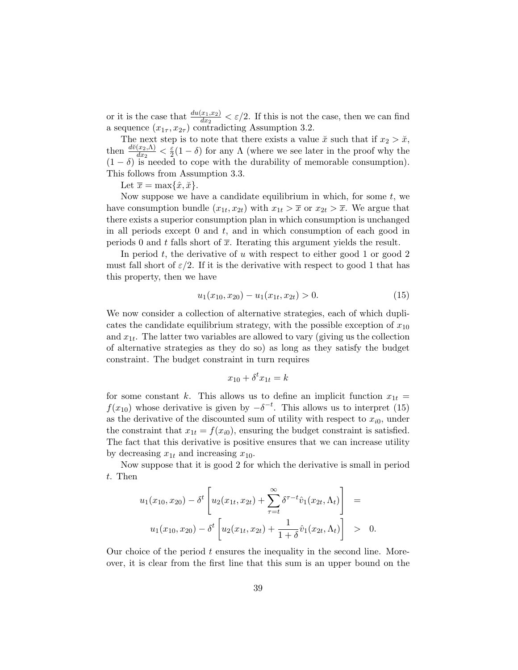or it is the case that  $\frac{du(x_1,x_2)}{dx_2} < \varepsilon/2$ . If this is not the case, then we can find a sequence  $(x_{1\tau}, x_{2\tau})$  contradicting Assumption 3.2.

The next step is to note that there exists a value  $\check{x}$  such that if  $x_2 > \check{x}$ , then  $\frac{d\breve{v}(x_2,\Lambda)}{dx_2} < \frac{\breve{\varepsilon}}{2}$  $\frac{\varepsilon}{2}(1-\delta)$  for any  $\Lambda$  (where we see later in the proof why the  $(1 - \delta)$  is needed to cope with the durability of memorable consumption). This follows from Assumption 3.3.

Let  $\overline{x} = \max\{\hat{x}, \check{x}\}.$ 

Now suppose we have a candidate equilibrium in which, for some  $t$ , we have consumption bundle  $(x_{1t}, x_{2t})$  with  $x_{1t} > \overline{x}$  or  $x_{2t} > \overline{x}$ . We argue that there exists a superior consumption plan in which consumption is unchanged in all periods except  $0$  and  $t$ , and in which consumption of each good in periods 0 and t falls short of  $\bar{x}$ . Iterating this argument yields the result.

In period t, the derivative of u with respect to either good 1 or good 2 must fall short of  $\varepsilon/2$ . If it is the derivative with respect to good 1 that has this property, then we have

$$
u_1(x_{10}, x_{20}) - u_1(x_{1t}, x_{2t}) > 0.
$$
\n<sup>(15)</sup>

We now consider a collection of alternative strategies, each of which duplicates the candidate equilibrium strategy, with the possible exception of  $x_{10}$ and  $x_{1t}$ . The latter two variables are allowed to vary (giving us the collection of alternative strategies as they do so) as long as they satisfy the budget constraint. The budget constraint in turn requires

$$
x_{10} + \delta^t x_{1t} = k
$$

for some constant k. This allows us to define an implicit function  $x_{1t} =$  $f(x_{10})$  whose derivative is given by  $-\delta^{-t}$ . This allows us to interpret (15) as the derivative of the discounted sum of utility with respect to  $x_{i0}$ , under the constraint that  $x_{1t} = f(x_{i0})$ , ensuring the budget constraint is satisfied. The fact that this derivative is positive ensures that we can increase utility by decreasing  $x_{1t}$  and increasing  $x_{10}$ .

Now suppose that it is good 2 for which the derivative is small in period t. Then

$$
u_1(x_{10}, x_{20}) - \delta^t \left[ u_2(x_{1t}, x_{2t}) + \sum_{\tau=t}^{\infty} \delta^{\tau-t} \hat{v}_1(x_{2t}, \Lambda_t) \right] =
$$
  

$$
u_1(x_{10}, x_{20}) - \delta^t \left[ u_2(x_{1t}, x_{2t}) + \frac{1}{1+\delta} \hat{v}_1(x_{2t}, \Lambda_t) \right] > 0.
$$

Our choice of the period  $t$  ensures the inequality in the second line. Moreover, it is clear from the first line that this sum is an upper bound on the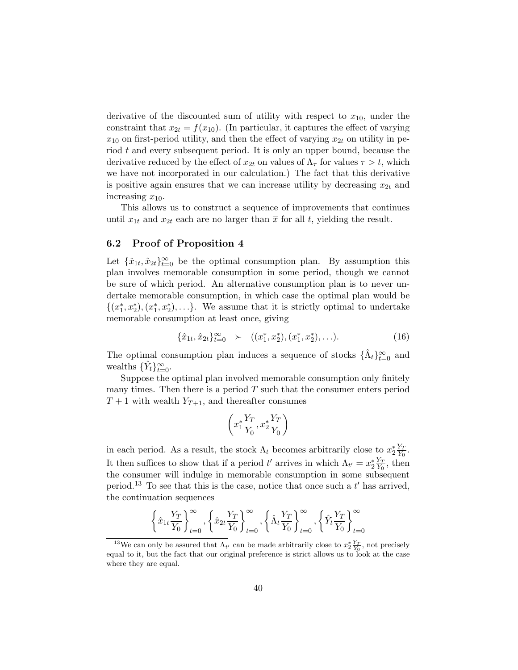derivative of the discounted sum of utility with respect to  $x_{10}$ , under the constraint that  $x_{2t} = f(x_{10})$ . (In particular, it captures the effect of varying  $x_{10}$  on first-period utility, and then the effect of varying  $x_{2t}$  on utility in period  $t$  and every subsequent period. It is only an upper bound, because the derivative reduced by the effect of  $x_{2t}$  on values of  $\Lambda_{\tau}$  for values  $\tau > t$ , which we have not incorporated in our calculation.) The fact that this derivative is positive again ensures that we can increase utility by decreasing  $x_{2t}$  and increasing  $x_{10}$ .

This allows us to construct a sequence of improvements that continues until  $x_{1t}$  and  $x_{2t}$  each are no larger than  $\bar{x}$  for all t, yielding the result.

## 6.2 Proof of Proposition 4

Let  $\{\hat{x}_{1t}, \hat{x}_{2t}\}_{t=0}^{\infty}$  be the optimal consumption plan. By assumption this plan involves memorable consumption in some period, though we cannot be sure of which period. An alternative consumption plan is to never undertake memorable consumption, in which case the optimal plan would be  $\{(x_1^*, x_2^*), (x_1^*, x_2^*), \ldots\}.$  We assume that it is strictly optimal to undertake memorable consumption at least once, giving

$$
\{\hat{x}_{1t}, \hat{x}_{2t}\}_{t=0}^{\infty} \succ (\left(x_1^*, x_2^*\right), \left(x_1^*, x_2^*\right), \ldots). \tag{16}
$$

The optimal consumption plan induces a sequence of stocks  $\{\hat{\Lambda}_t\}_{t=0}^{\infty}$  and wealths  $\{\hat{Y}_t\}_{t=0}^{\infty}$ .

Suppose the optimal plan involved memorable consumption only finitely many times. Then there is a period  $T$  such that the consumer enters period  $T+1$  with wealth  $Y_{T+1}$ , and thereafter consumes

$$
\left(x_1^* \frac{Y_T}{Y_0}, x_2^* \frac{Y_T}{Y_0}\right)
$$

in each period. As a result, the stock  $\Lambda_t$  becomes arbitrarily close to  $x_2^* \frac{Y_T}{Y_0}$  $\frac{Y_T}{Y_0}.$ It then suffices to show that if a period t' arrives in which  $\Lambda_{t'} = x_2^* \frac{Y_T}{Y_0}$  $\frac{Y_T}{Y_0}$ , then the consumer will indulge in memorable consumption in some subsequent period.<sup>13</sup> To see that this is the case, notice that once such a  $t'$  has arrived, the continuation sequences

$$
\left\{\hat{x}_{1t}\frac{Y_T}{Y_0}\right\}_{t=0}^{\infty}, \left\{\hat{x}_{2t}\frac{Y_T}{Y_0}\right\}_{t=0}^{\infty}, \left\{\hat{\Lambda}_t\frac{Y_T}{Y_0}\right\}_{t=0}^{\infty}, \left\{\hat{Y}_t\frac{Y_T}{Y_0}\right\}_{t=0}^{\infty}
$$

<sup>&</sup>lt;sup>13</sup>We can only be assured that  $\Lambda_{t'}$  can be made arbitrarily close to  $x_2^* \frac{Y_T}{Y_0}$ , not precisely equal to it, but the fact that our original preference is strict allows us to look at the case where they are equal.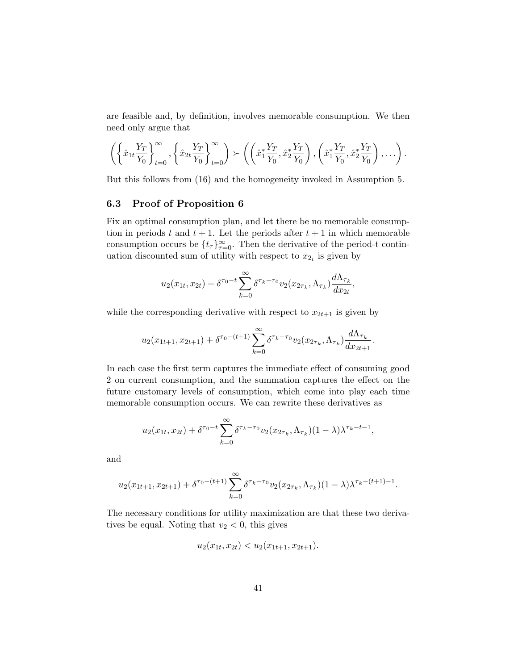are feasible and, by definition, involves memorable consumption. We then need only argue that

$$
\left(\left\{\hat{x}_{1t}\frac{Y_T}{Y_0}\right\}_{t=0}^{\infty},\left\{\hat{x}_{2t}\frac{Y_T}{Y_0}\right\}_{t=0}^{\infty}\right) \succ \left(\left(\hat{x}_1^*\frac{Y_T}{Y_0},\hat{x}_2^*\frac{Y_T}{Y_0}\right),\left(\hat{x}_1^*\frac{Y_T}{Y_0},\hat{x}_2^*\frac{Y_T}{Y_0}\right),\ldots\right).
$$

But this follows from (16) and the homogeneity invoked in Assumption 5.

## 6.3 Proof of Proposition 6

Fix an optimal consumption plan, and let there be no memorable consumption in periods t and  $t + 1$ . Let the periods after  $t + 1$  in which memorable consumption occurs be  $\{t_{\tau}\}_{\tau=0}^{\infty}$ . Then the derivative of the period-t continuation discounted sum of utility with respect to  $x_{2t}$  is given by

$$
u_2(x_{1t}, x_{2t}) + \delta^{\tau_0 - t} \sum_{k=0}^{\infty} \delta^{\tau_k - \tau_0} v_2(x_{2\tau_k}, \Lambda_{\tau_k}) \frac{d\Lambda_{\tau_k}}{dx_{2t}},
$$

while the corresponding derivative with respect to  $x_{2t+1}$  is given by

$$
u_2(x_{1t+1}, x_{2t+1}) + \delta^{\tau_0 - (t+1)} \sum_{k=0}^{\infty} \delta^{\tau_k - \tau_0} v_2(x_{2\tau_k}, \Lambda_{\tau_k}) \frac{d\Lambda_{\tau_k}}{dx_{2t+1}}.
$$

In each case the first term captures the immediate effect of consuming good 2 on current consumption, and the summation captures the effect on the future customary levels of consumption, which come into play each time memorable consumption occurs. We can rewrite these derivatives as

$$
u_2(x_{1t}, x_{2t}) + \delta^{\tau_0 - t} \sum_{k=0}^{\infty} \delta^{\tau_k - \tau_0} v_2(x_{2\tau_k}, \Lambda_{\tau_k})(1 - \lambda) \lambda^{\tau_k - t - 1},
$$

and

$$
u_2(x_{1t+1}, x_{2t+1}) + \delta^{\tau_0 - (t+1)} \sum_{k=0}^{\infty} \delta^{\tau_k - \tau_0} v_2(x_{2\tau_k}, \Lambda_{\tau_k}) (1 - \lambda) \lambda^{\tau_k - (t+1) - 1}.
$$

The necessary conditions for utility maximization are that these two derivatives be equal. Noting that  $v_2 < 0$ , this gives

$$
u_2(x_{1t}, x_{2t}) < u_2(x_{1t+1}, x_{2t+1}).
$$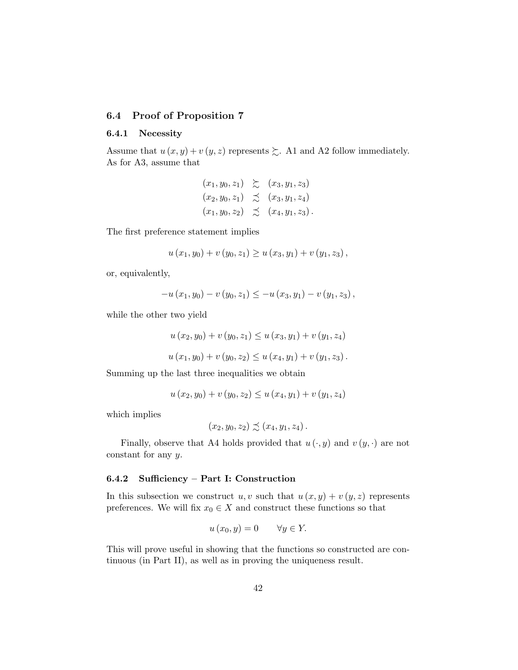## 6.4 Proof of Proposition 7

#### 6.4.1 Necessity

Assume that  $u(x, y) + v(y, z)$  represents  $\succsim$ . A1 and A2 follow immediately. As for A3, assume that

$$
(x_1, y_0, z_1) \geq (x_3, y_1, z_3)
$$
  
\n $(x_2, y_0, z_1) \geq (x_3, y_1, z_4)$   
\n $(x_1, y_0, z_2) \geq (x_4, y_1, z_3).$ 

The first preference statement implies

$$
u(x_1, y_0) + v(y_0, z_1) \ge u(x_3, y_1) + v(y_1, z_3),
$$

or, equivalently,

$$
-u(x_1, y_0) - v(y_0, z_1) \le -u(x_3, y_1) - v(y_1, z_3),
$$

while the other two yield

$$
u(x_2, y_0) + v(y_0, z_1) \le u(x_3, y_1) + v(y_1, z_4)
$$
  

$$
u(x_1, y_0) + v(y_0, z_2) \le u(x_4, y_1) + v(y_1, z_3).
$$

Summing up the last three inequalities we obtain

$$
u(x_2, y_0) + v(y_0, z_2) \le u(x_4, y_1) + v(y_1, z_4)
$$

which implies

$$
(x_2, y_0, z_2) \precsim (x_4, y_1, z_4).
$$

Finally, observe that A4 holds provided that  $u(\cdot, y)$  and  $v(y, \cdot)$  are not constant for any y.

## 6.4.2 Sufficiency – Part I: Construction

In this subsection we construct u, v such that  $u(x, y) + v(y, z)$  represents preferences. We will fix  $x_0 \in X$  and construct these functions so that

$$
u(x_0, y) = 0 \qquad \forall y \in Y.
$$

This will prove useful in showing that the functions so constructed are continuous (in Part II), as well as in proving the uniqueness result.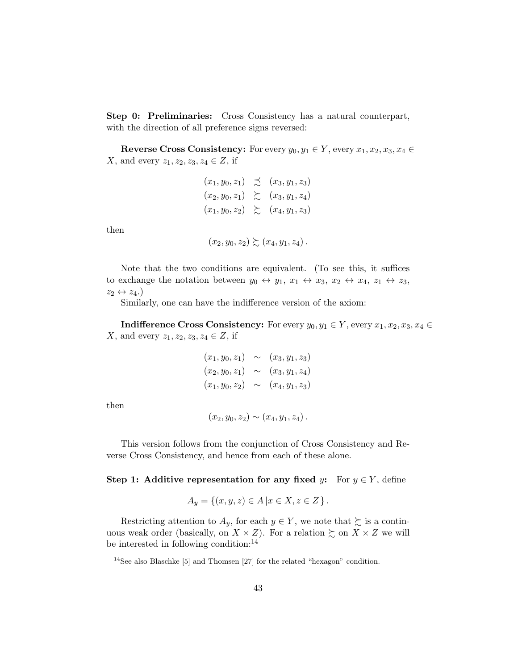Step 0: Preliminaries: Cross Consistency has a natural counterpart, with the direction of all preference signs reversed:

**Reverse Cross Consistency:** For every  $y_0, y_1 \in Y$ , every  $x_1, x_2, x_3, x_4 \in Y$ X, and every  $z_1, z_2, z_3, z_4 \in Z$ , if

$$
(x_1, y_0, z_1) \precsim (x_3, y_1, z_3)
$$
  
\n
$$
(x_2, y_0, z_1) \succeq (x_3, y_1, z_4)
$$
  
\n
$$
(x_1, y_0, z_2) \succeq (x_4, y_1, z_3)
$$

then

$$
(x_2,y_0,z_2)\succsim(x_4,y_1,z_4)
$$

Note that the two conditions are equivalent. (To see this, it suffices to exchange the notation between  $y_0 \leftrightarrow y_1, x_1 \leftrightarrow x_3, x_2 \leftrightarrow x_4, z_1 \leftrightarrow z_3$  $z_2 \leftrightarrow z_4.$ 

Similarly, one can have the indifference version of the axiom:

**Indifference Cross Consistency:** For every  $y_0, y_1 \in Y$ , every  $x_1, x_2, x_3, x_4 \in Y$ X, and every  $z_1, z_2, z_3, z_4 \in Z$ , if

$$
(x_1, y_0, z_1) \sim (x_3, y_1, z_3)
$$
  
\n
$$
(x_2, y_0, z_1) \sim (x_3, y_1, z_4)
$$
  
\n
$$
(x_1, y_0, z_2) \sim (x_4, y_1, z_3)
$$

then

$$
(x_2, y_0, z_2) \sim (x_4, y_1, z_4).
$$

This version follows from the conjunction of Cross Consistency and Reverse Cross Consistency, and hence from each of these alone.

Step 1: Additive representation for any fixed y: For  $y \in Y$ , define

$$
A_y = \{(x, y, z) \in A \, | \, x \in X, z \in Z \}.
$$

Restricting attention to  $A_y$ , for each  $y \in Y$ , we note that  $\succsim$  is a continuous weak order (basically, on  $X \times Z$ ). For a relation  $\succsim$  on  $X \times Z$  we will be interested in following condition:<sup>14</sup>

<sup>14</sup>See also Blaschke [5] and Thomsen [27] for the related "hexagon" condition.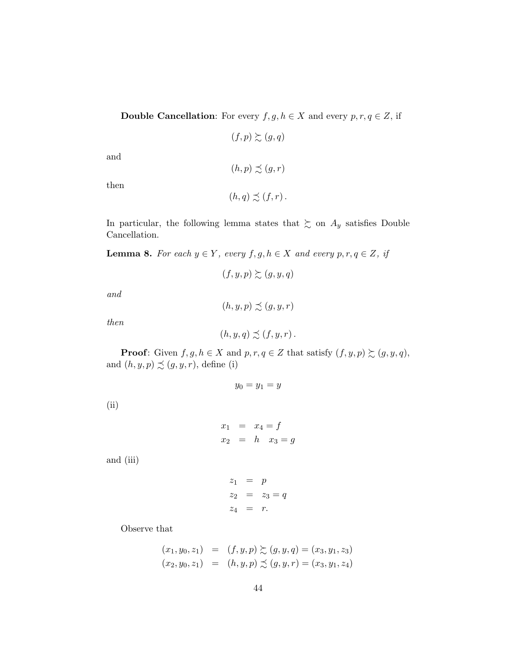**Double Cancellation:** For every  $f, g, h \in X$  and every  $p, r, q \in Z$ , if

 $(f, p) \succsim (g, q)$ 

 $(h, p) \precsim (g, r)$ 

and

then

$$
(h,q)\precsim(f,r).
$$

In particular, the following lemma states that  $\gtrsim$  on  $A_y$  satisfies Double Cancellation.

**Lemma 8.** For each  $y \in Y$ , every  $f, g, h \in X$  and every  $p, r, q \in Z$ , if

$$
(f, y, p) \succsim (g, y, q)
$$

and

 $(h, y, p) \precsim (g, y, r)$ 

then

$$
(h, y, q) \precsim (f, y, r).
$$

**Proof:** Given  $f, g, h \in X$  and  $p, r, q \in Z$  that satisfy  $(f, y, p) \succsim (g, y, q)$ , and  $(h, y, p) \precsim (g, y, r)$ , define (i)

$$
y_0=y_1=y
$$

(ii)

$$
x_1 = x_4 = f
$$
  

$$
x_2 = h \quad x_3 = g
$$

and (iii)

$$
z_1 = p
$$
  
\n $z_2 = z_3 = q$   
\n $z_4 = r$ .

Observe that

$$
(x_1, y_0, z_1) = (f, y, p) \succsim (g, y, q) = (x_3, y_1, z_3)
$$
  

$$
(x_2, y_0, z_1) = (h, y, p) \preceq (g, y, r) = (x_3, y_1, z_4)
$$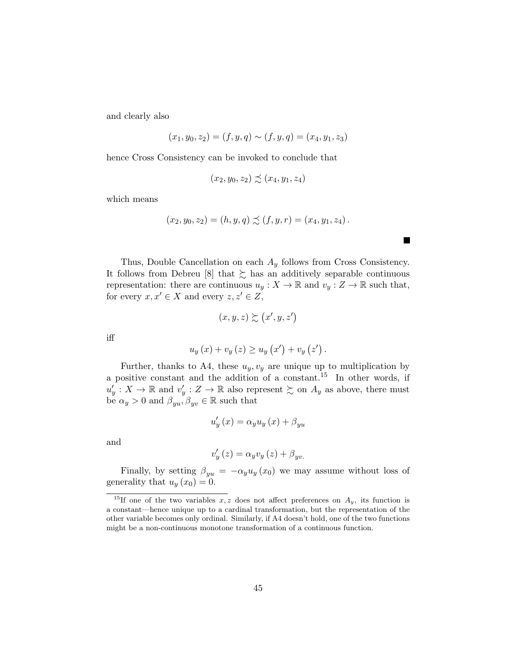and clearly also

$$
(x_1, y_0, z_2) = (f, y, q) \sim (f, y, q) = (x_4, y_1, z_3)
$$

hence Cross Consistency can be invoked to conclude that

$$
(x_2, y_0, z_2) \precsim (x_4, y_1, z_4)
$$

which means

$$
(x_2, y_0, z_2) = (h, y, q) \precsim (f, y, r) = (x_4, y_1, z_4).
$$

П

Thus, Double Cancellation on each  $A_y$  follows from Cross Consistency. It follows from Debreu [8] that  $\succsim$  has an additively separable continuous representation: there are continuous  $u_y: X \to \mathbb{R}$  and  $v_y: Z \to \mathbb{R}$  such that, for every  $x, x' \in X$  and every  $z, z' \in Z$ ,

$$
(x, y, z) \succsim (x', y, z')
$$

iff

$$
u_y(x) + v_y(z) \ge u_y(x') + v_y(z').
$$

Further, thanks to A4, these  $u_y, v_y$  are unique up to multiplication by a positive constant and the addition of a constant.<sup>15</sup> In other words, if  $u'_y: X \to \mathbb{R}$  and  $v'_y: Z \to \mathbb{R}$  also represent  $\succsim$  on  $A_y$  as above, there must be  $\alpha_y > 0$  and  $\beta_{yu}, \beta_{yv} \in \mathbb{R}$  such that

$$
u_y'(x) = \alpha_y u_y(x) + \beta_{yu}
$$

and

$$
v_y'(z) = \alpha_y v_y(z) + \beta_{yv.}
$$

Finally, by setting  $\beta_{yu} = -\alpha_y u_y(x_0)$  we may assume without loss of generality that  $u_y(x_0) = 0$ .

<sup>&</sup>lt;sup>15</sup>If one of the two variables x, z does not affect preferences on  $A_y$ , its function is a constant—hence unique up to a cardinal transformation, but the representation of the other variable becomes only ordinal. Similarly, if A4 doesn't hold, one of the two functions might be a non-continuous monotone transformation of a continuous function.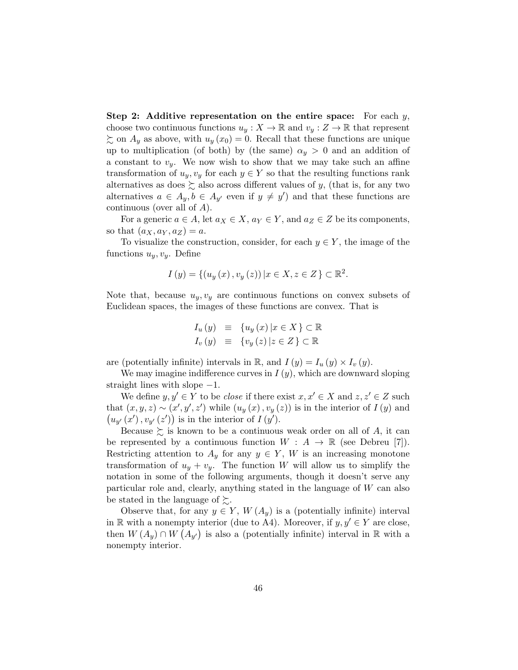Step 2: Additive representation on the entire space: For each  $y$ , choose two continuous functions  $u_y: X \to \mathbb{R}$  and  $v_y: Z \to \mathbb{R}$  that represent  $\sum_{n=1}^{\infty}$  on  $A_y$  as above, with  $u_y(x_0) = 0$ . Recall that these functions are unique up to multiplication (of both) by (the same)  $\alpha_y > 0$  and an addition of a constant to  $v_y$ . We now wish to show that we may take such an affine transformation of  $u_y, v_y$  for each  $y \in Y$  so that the resulting functions rank alternatives as does  $\gtrsim$  also across different values of y, (that is, for any two alternatives  $a \in A_y, b \in A_{y'}$  even if  $y \neq y'$  and that these functions are continuous (over all of A).

For a generic  $a \in A$ , let  $a_X \in X$ ,  $a_Y \in Y$ , and  $a_Z \in Z$  be its components, so that  $(a_X, a_Y, a_Z) = a$ .

To visualize the construction, consider, for each  $y \in Y$ , the image of the functions  $u_y, v_y$ . Define

$$
I(y) = \{(u_y(x), v_y(z)) | x \in X, z \in Z\} \subset \mathbb{R}^2.
$$

Note that, because  $u_y, v_y$  are continuous functions on convex subsets of Euclidean spaces, the images of these functions are convex. That is

$$
I_u(y) \equiv \{u_y(x) | x \in X\} \subset \mathbb{R}
$$
  

$$
I_v(y) \equiv \{v_y(z) | z \in Z\} \subset \mathbb{R}
$$

are (potentially infinite) intervals in  $\mathbb{R}$ , and  $I(y) = I_u(y) \times I_v(y)$ .

We may imagine indifference curves in  $I(y)$ , which are downward sloping straight lines with slope  $-1$ .

We define  $y, y' \in Y$  to be *close* if there exist  $x, x' \in X$  and  $z, z' \in Z$  such that  $(x, y, z) \sim (x', y', z')$  while  $(u_y(x), v_y(z))$  is in the interior of  $I(y)$  and  $(u_{y'}(x'), v_{y'}(z'))$  is in the interior of  $I(y')$ .

Because  $\succsim$  is known to be a continuous weak order on all of A, it can be represented by a continuous function  $W : A \to \mathbb{R}$  (see Debreu [7]). Restricting attention to  $A_y$  for any  $y \in Y$ , W is an increasing monotone transformation of  $u_y + v_y$ . The function W will allow us to simplify the notation in some of the following arguments, though it doesn't serve any particular role and, clearly, anything stated in the language of W can also be stated in the language of  $\succsim$ .

Observe that, for any  $y \in Y$ ,  $W(A_y)$  is a (potentially infinite) interval in R with a nonempty interior (due to A4). Moreover, if  $y, y' \in Y$  are close, then  $W(A_y) \cap W(A_{y'})$  is also a (potentially infinite) interval in R with a nonempty interior.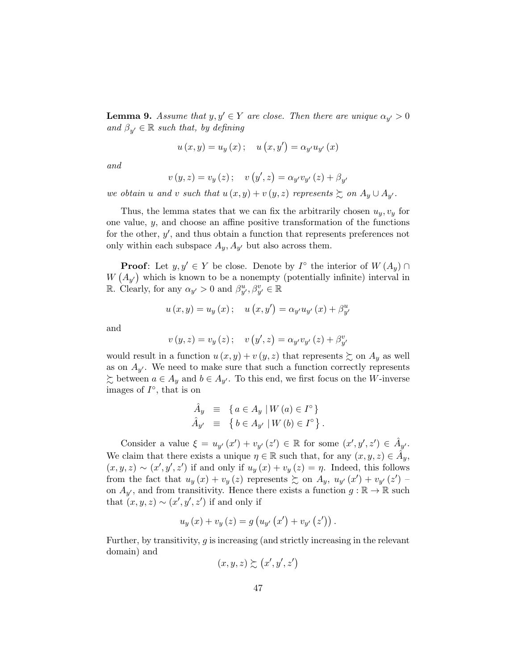**Lemma 9.** Assume that  $y, y' \in Y$  are close. Then there are unique  $\alpha_{y'} > 0$ and  $\beta_{y'} \in \mathbb{R}$  such that, by defining

$$
u(x,y) = u_y(x); \quad u(x,y') = \alpha_{y'}u_{y'}(x)
$$

and

$$
v(y, z) = v_y(z); \quad v(y', z) = \alpha_{y'} v_{y'}(z) + \beta_{y'}
$$

we obtain u and v such that  $u(x, y) + v(y, z)$  represents  $\succsim$  on  $A_y \cup A_{y'}$ .

Thus, the lemma states that we can fix the arbitrarily chosen  $u_y, v_y$  for one value, y, and choose an affine positive transformation of the functions for the other,  $y'$ , and thus obtain a function that represents preferences not only within each subspace  $A_y$ ,  $A_{y'}$  but also across them.

**Proof**: Let  $y, y' \in Y$  be close. Denote by  $I^{\circ}$  the interior of  $W(A_y) \cap Y$  $W(A_{y'})$  which is known to be a nonempty (potentially infinite) interval in R. Clearly, for any  $\alpha_{y'} > 0$  and  $\beta_{y'}^u, \beta_{y'}^v \in \mathbb{R}$ 

$$
u(x,y) = u_y(x);
$$
  $u(x,y') = \alpha_{y'}u_{y'}(x) + \beta_{y'}^u$ 

and

$$
v(y, z) = v_y(z); \quad v(y', z) = \alpha_{y'} v_{y'}(z) + \beta_{y'}^v
$$

would result in a function  $u(x, y) + v(y, z)$  that represents  $\succeq$  on  $A_y$  as well as on  $A_{y'}$ . We need to make sure that such a function correctly represents  $\sum$  between  $a \in A_y$  and  $b \in A_{y'}$ . To this end, we first focus on the W-inverse images of  $I^{\circ}$ , that is on

$$
\begin{array}{rcl}\n\hat{A}_y & \equiv & \left\{ \, a \in A_y \mid W \left( a \right) \in I^\circ \, \right\} \\
\hat{A}_{y'} & \equiv & \left\{ \, b \in A_{y'} \mid W \left( b \right) \in I^\circ \, \right\}.\n\end{array}
$$

Consider a value  $\xi = u_{y'}(x') + v_{y'}(z') \in \mathbb{R}$  for some  $(x', y', z') \in \hat{A}_{y'}$ . We claim that there exists a unique  $\eta \in \mathbb{R}$  such that, for any  $(x, y, z) \in \hat{A}_y$ ,  $(x, y, z) \sim (x', y', z')$  if and only if  $u_y(x) + v_y(z) = \eta$ . Indeed, this follows from the fact that  $u_y(x) + v_y(z)$  represents  $\sum$  on  $A_y$ ,  $u_{y'}(x') + v_{y'}(z')$ on  $A_{y'}$ , and from transitivity. Hence there exists a function  $g : \mathbb{R} \to \mathbb{R}$  such that  $(x, y, z) \sim (x', y', z')$  if and only if

$$
u_y(x) + v_y(z) = g(u_{y'}(x') + v_{y'}(z'))
$$
.

Further, by transitivity,  $g$  is increasing (and strictly increasing in the relevant domain) and

$$
(x, y, z) \succsim (x', y', z')
$$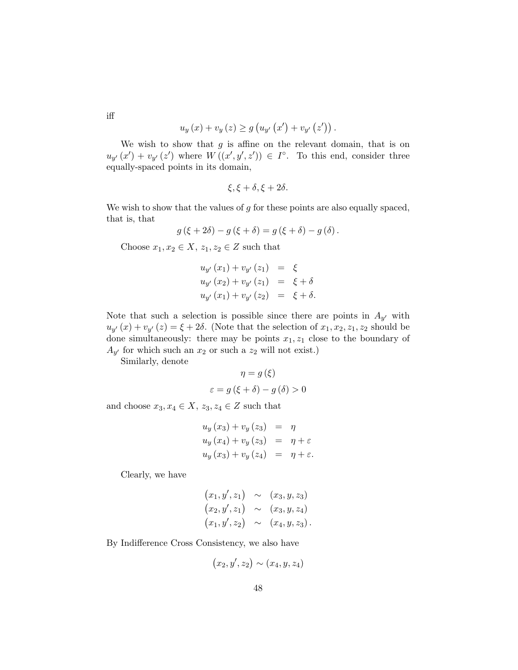$$
u_y(x) + v_y(z) \ge g(u_{y'}(x') + v_{y'}(z'))
$$
.

We wish to show that  $g$  is affine on the relevant domain, that is on  $u_{y'}(x') + v_{y'}(z')$  where  $W((x', y', z')) \in I^{\circ}$ . To this end, consider three equally-spaced points in its domain,

$$
\xi, \xi + \delta, \xi + 2\delta.
$$

We wish to show that the values of  $g$  for these points are also equally spaced, that is, that

$$
g(\xi + 2\delta) - g(\xi + \delta) = g(\xi + \delta) - g(\delta).
$$

Choose  $x_1, x_2 \in X$ ,  $z_1, z_2 \in Z$  such that

$$
u_{y'}(x_1) + v_{y'}(z_1) = \xi u_{y'}(x_2) + v_{y'}(z_1) = \xi + \delta u_{y'}(x_1) + v_{y'}(z_2) = \xi + \delta.
$$

Note that such a selection is possible since there are points in  $A_{y'}$  with  $u_{y'}(x) + v_{y'}(z) = \xi + 2\delta$ . (Note that the selection of  $x_1, x_2, z_1, z_2$  should be done simultaneously: there may be points  $x_1, z_1$  close to the boundary of  $A_{y'}$  for which such an  $x_2$  or such a  $z_2$  will not exist.)

Similarly, denote

$$
\eta = g(\xi)
$$

$$
\varepsilon = g(\xi + \delta) - g(\delta) > 0
$$

and choose  $x_3, x_4 \in X$ ,  $z_3, z_4 \in Z$  such that

$$
u_y(x_3) + v_y(z_3) = \eta
$$
  
\n
$$
u_y(x_4) + v_y(z_3) = \eta + \varepsilon
$$
  
\n
$$
u_y(x_3) + v_y(z_4) = \eta + \varepsilon
$$

Clearly, we have

$$
(x_1, y', z_1)
$$
  $\sim$   $(x_3, y, z_3)$   
\n $(x_2, y', z_1)$   $\sim$   $(x_3, y, z_4)$   
\n $(x_1, y', z_2)$   $\sim$   $(x_4, y, z_3)$ .

By Indifference Cross Consistency, we also have

$$
(x_2, y', z_2) \sim (x_4, y, z_4)
$$

iff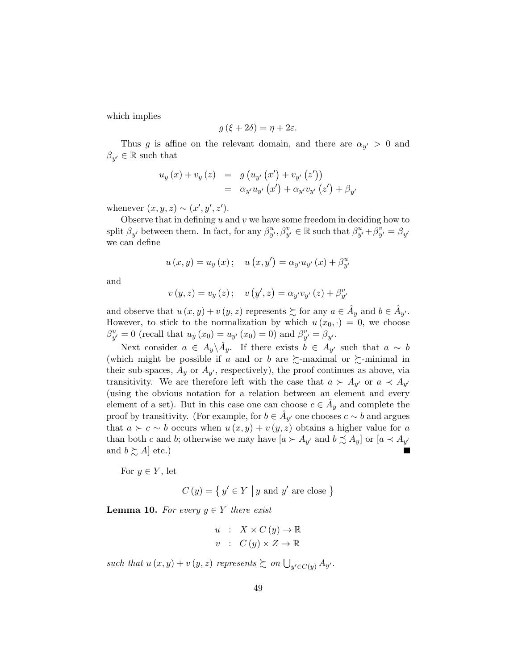which implies

$$
g(\xi + 2\delta) = \eta + 2\varepsilon.
$$

Thus g is affine on the relevant domain, and there are  $\alpha_{y'} > 0$  and  $\beta_{y'} \in \mathbb{R}$  such that

$$
u_y(x) + v_y(z) = g(u_{y'}(x') + v_{y'}(z'))
$$
  
=  $\alpha_{y'}u_{y'}(x') + \alpha_{y'}v_{y'}(z') + \beta_{y'}$ 

whenever  $(x, y, z) \sim (x', y', z')$ .

Observe that in defining  $u$  and  $v$  we have some freedom in deciding how to split  $\beta_{y'}$  between them. In fact, for any  $\beta_{y'}^u, \beta_{y'}^v \in \mathbb{R}$  such that  $\beta_{y'}^u + \beta_{y'}^v = \beta_{y'}$ we can define

$$
u(x,y) = u_y(x);
$$
  $u(x,y') = \alpha_{y'}u_{y'}(x) + \beta_{y'}^u$ 

and

$$
v(y, z) = v_y(z); \quad v(y', z) = \alpha_{y'} v_{y'}(z) + \beta_{y'}^v
$$

and observe that  $u(x, y) + v(y, z)$  represents  $\succeq$  for any  $a \in \hat{A}_y$  and  $b \in \hat{A}_{y'}$ . However, to stick to the normalization by which  $u(x_0, \cdot) = 0$ , we choose  $\beta_{y'}^{u} = 0$  (recall that  $u_{y}(x_{0}) = u_{y'}(x_{0}) = 0$ ) and  $\beta_{y'}^{v} = \beta_{y'}$ .

Next consider  $a \in A_y \backslash \hat{A}_y$ . If there exists  $b \in A_{y'}$  such that  $a \sim b$ (which might be possible if a and or b are  $\gtrsim$ -maximal or  $\gtrsim$ -minimal in their sub-spaces,  $A_y$  or  $A_{y'}$ , respectively), the proof continues as above, via transitivity. We are therefore left with the case that  $a \succ A_{y'}$  or  $a \prec A_{y'}$ (using the obvious notation for a relation between an element and every element of a set). But in this case one can choose  $c \in \hat{A}_y$  and complete the proof by transitivity. (For example, for  $b \in \hat{A}_{y'}$  one chooses  $c \sim b$  and argues that  $a \succ c \sim b$  occurs when  $u(x, y) + v(y, z)$  obtains a higher value for a than both c and b; otherwise we may have  $[a \succ A_{y'}]$  and  $b \precsim A_{y'}$  or  $[a \prec A_{y'}]$ and  $b \succsim A$ ] etc.)

For  $y \in Y$ , let

 $C(y) = \{ y' \in Y \mid y \text{ and } y' \text{ are close } \}$ 

**Lemma 10.** For every  $y \in Y$  there exist

$$
u : X \times C (y) \to \mathbb{R}
$$
  

$$
v : C (y) \times Z \to \mathbb{R}
$$

such that  $u(x, y) + v(y, z)$  represents  $\succsim$  on  $\bigcup_{y' \in C(y)} A_{y'}$ .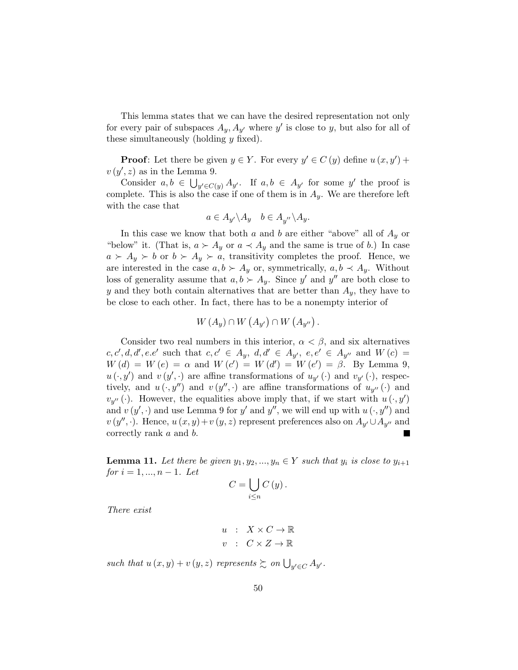This lemma states that we can have the desired representation not only for every pair of subspaces  $A_y$ ,  $A_{y'}$  where  $y'$  is close to y, but also for all of these simultaneously (holding  $y$  fixed).

**Proof:** Let there be given  $y \in Y$ . For every  $y' \in C(y)$  define  $u(x, y')$  +  $v(y', z)$  as in the Lemma 9.

Consider  $a, b \in \bigcup_{y' \in C(y)} A_{y'}$ . If  $a, b \in A_{y'}$  for some y' the proof is complete. This is also the case if one of them is in  $A_y$ . We are therefore left with the case that

$$
a \in A_{y'} \backslash A_y \quad b \in A_{y''} \backslash A_y.
$$

In this case we know that both a and b are either "above" all of  $A_y$  or "below" it. (That is,  $a \succ A_y$  or  $a \prec A_y$  and the same is true of b.) In case  $a \succ A_y \succ b$  or  $b \succ A_y \succ a$ , transitivity completes the proof. Hence, we are interested in the case  $a, b \succ A_y$  or, symmetrically,  $a, b \prec A_y$ . Without loss of generality assume that  $a, b \succ A_y$ . Since y' and y'' are both close to y and they both contain alternatives that are better than  $A_y$ , they have to be close to each other. In fact, there has to be a nonempty interior of

$$
W(A_y) \cap W(A_{y'}) \cap W(A_{y''}) .
$$

Consider two real numbers in this interior,  $\alpha < \beta$ , and six alternatives  $c, c', d, d', e.e'$  such that  $c, c' \in A_y, d, d' \in A_{y'}, e, e' \in A_{y''}$  and  $W(c) =$  $W(d) = W(e) = \alpha$  and  $W(c') = W(d') = W(e') = \beta$ . By Lemma 9,  $u(\cdot, y')$  and  $v(y', \cdot)$  are affine transformations of  $u_{y'}(\cdot)$  and  $v_{y'}(\cdot)$ , respectively, and  $u(\cdot, y'')$  and  $v(y'', \cdot)$  are affine transformations of  $u_{y''}(\cdot)$  and  $v_{y''}(\cdot)$ . However, the equalities above imply that, if we start with  $u(\cdot, y')$ and  $v(y', \cdot)$  and use Lemma 9 for y' and y'', we will end up with  $u(\cdot, y'')$  and  $v(y'', \cdot)$ . Hence,  $u(x, y) + v(y, z)$  represent preferences also on  $A_{y'} \cup A_{y''}$  and correctly rank a and b.

**Lemma 11.** Let there be given  $y_1, y_2, ..., y_n \in Y$  such that  $y_i$  is close to  $y_{i+1}$  $for i = 1, ..., n - 1$ . Let

$$
C=\bigcup_{i\leq n}C(y).
$$

There exist

$$
u : X \times C \to \mathbb{R}
$$
  

$$
v : C \times Z \to \mathbb{R}
$$

such that  $u(x, y) + v(y, z)$  represents  $\succsim on \bigcup_{y' \in C} A_{y'}$ .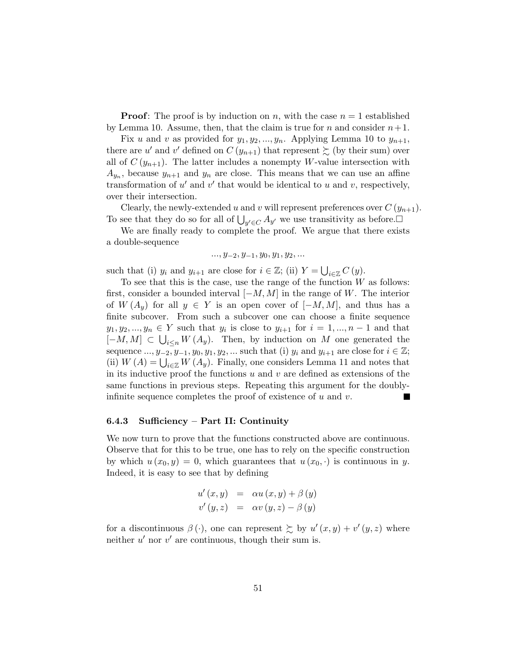**Proof:** The proof is by induction on n, with the case  $n = 1$  established by Lemma 10. Assume, then, that the claim is true for n and consider  $n+1$ .

Fix u and v as provided for  $y_1, y_2, ..., y_n$ . Applying Lemma 10 to  $y_{n+1}$ , there are u' and v' defined on  $C(y_{n+1})$  that represent  $\succsim$  (by their sum) over all of  $C(y_{n+1})$ . The latter includes a nonempty W-value intersection with  $A_{y_n}$ , because  $y_{n+1}$  and  $y_n$  are close. This means that we can use an affine transformation of  $u'$  and  $v'$  that would be identical to u and v, respectively, over their intersection.

Clearly, the newly-extended u and v will represent preferences over  $C(y_{n+1})$ . To see that they do so for all of  $\bigcup_{y' \in C} A_{y'}$  we use transitivity as before.

We are finally ready to complete the proof. We argue that there exists a double-sequence

$$
..., y_{-2}, y_{-1}, y_0, y_1, y_2, ...
$$

such that (i)  $y_i$  and  $y_{i+1}$  are close for  $i \in \mathbb{Z}$ ; (ii)  $Y = \bigcup_{i \in \mathbb{Z}} C(y)$ .

To see that this is the case, use the range of the function  $W$  as follows: first, consider a bounded interval  $[-M, M]$  in the range of W. The interior of  $W(A_y)$  for all  $y \in Y$  is an open cover of  $[-M, M]$ , and thus has a finite subcover. From such a subcover one can choose a finite sequence  $y_1, y_2, ..., y_n \in Y$  such that  $y_i$  is close to  $y_{i+1}$  for  $i = 1, ..., n-1$  and that  $[-M, M] \subset \bigcup_{i \leq n} W(A_i)$ . Then, by induction on M one generated the sequence ...,  $y_{-2}, y_{-1}, y_0, y_1, y_2, ...$  such that (i)  $y_i$  and  $y_{i+1}$  are close for  $i \in \mathbb{Z}$ ; (ii)  $W(A) = \bigcup_{i \in \mathbb{Z}} W(A_i)$ . Finally, one considers Lemma 11 and notes that in its inductive proof the functions  $u$  and  $v$  are defined as extensions of the same functions in previous steps. Repeating this argument for the doublyinfinite sequence completes the proof of existence of  $u$  and  $v$ .

## 6.4.3 Sufficiency – Part II: Continuity

We now turn to prove that the functions constructed above are continuous. Observe that for this to be true, one has to rely on the specific construction by which  $u(x_0, y) = 0$ , which guarantees that  $u(x_0, \cdot)$  is continuous in y. Indeed, it is easy to see that by defining

$$
u'(x, y) = \alpha u(x, y) + \beta(y)
$$
  

$$
v'(y, z) = \alpha v(y, z) - \beta(y)
$$

for a discontinuous  $\beta(\cdot)$ , one can represent  $\sum y_i u'(x, y) + v'(y, z)$  where neither  $u'$  nor  $v'$  are continuous, though their sum is.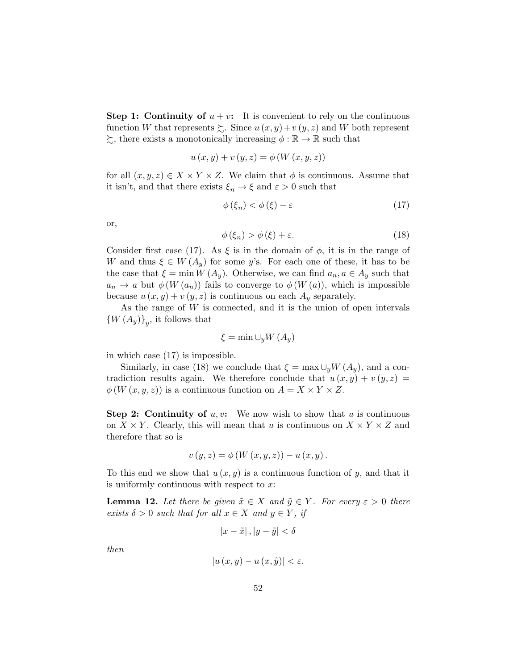**Step 1: Continuity of**  $u + v$ : It is convenient to rely on the continuous function W that represents  $\succsim$ . Since  $u(x, y) + v(y, z)$  and W both represent  $\succsim$ , there exists a monotonically increasing  $\phi : \mathbb{R} \to \mathbb{R}$  such that

$$
u(x, y) + v(y, z) = \phi(W(x, y, z))
$$

for all  $(x, y, z) \in X \times Y \times Z$ . We claim that  $\phi$  is continuous. Assume that it isn't, and that there exists  $\xi_n \to \xi$  and  $\varepsilon > 0$  such that

$$
\phi\left(\xi_n\right) < \phi\left(\xi\right) - \varepsilon \tag{17}
$$

or,

$$
\phi\left(\xi_n\right) > \phi\left(\xi\right) + \varepsilon. \tag{18}
$$

Consider first case (17). As  $\xi$  is in the domain of  $\phi$ , it is in the range of W and thus  $\xi \in W(A_u)$  for some y's. For each one of these, it has to be the case that  $\xi = \min W(A_y)$ . Otherwise, we can find  $a_n, a \in A_y$  such that  $a_n \to a$  but  $\phi(W(a_n))$  fails to converge to  $\phi(W(a))$ , which is impossible because  $u(x, y) + v(y, z)$  is continuous on each  $A_y$  separately.

As the range of W is connected, and it is the union of open intervals  $\left\{ W\left( A_{y}\right) \right\} _{y}$ , it follows that

$$
\xi = \min \cup_y W(A_y)
$$

in which case (17) is impossible.

Similarly, in case (18) we conclude that  $\xi = \max \cup_y W(A_y)$ , and a contradiction results again. We therefore conclude that  $u(x, y) + v(y, z) =$  $\phi(W(x, y, z))$  is a continuous function on  $A = X \times Y \times Z$ .

**Step 2: Continuity of**  $u, v$ : We now wish to show that  $u$  is continuous on  $X \times Y$ . Clearly, this will mean that u is continuous on  $X \times Y \times Z$  and therefore that so is

$$
v(y,z) = \phi(W(x,y,z)) - u(x,y).
$$

To this end we show that  $u(x, y)$  is a continuous function of y, and that it is uniformly continuous with respect to  $x$ :

**Lemma 12.** Let there be given  $\tilde{x} \in X$  and  $\tilde{y} \in Y$ . For every  $\varepsilon > 0$  there exists  $\delta > 0$  such that for all  $x \in X$  and  $y \in Y$ , if

$$
|x - \tilde{x}|, |y - \tilde{y}| < \delta
$$

then

$$
\left|u\left(x,y\right)-u\left(x,\tilde{y}\right)\right|<\varepsilon.
$$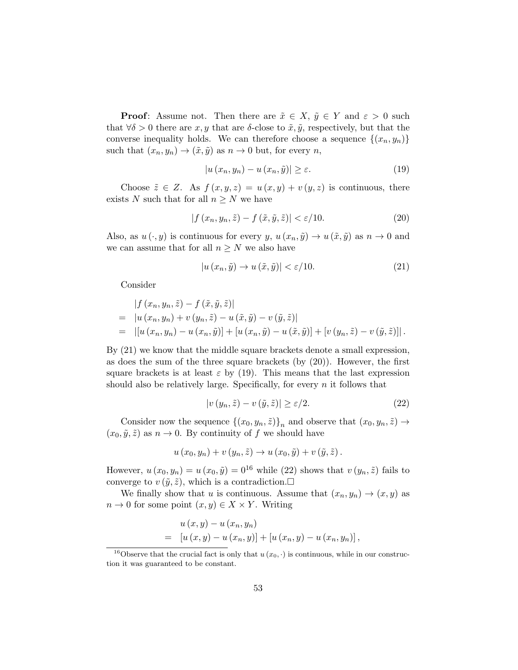**Proof:** Assume not. Then there are  $\tilde{x} \in X$ ,  $\tilde{y} \in Y$  and  $\varepsilon > 0$  such that  $\forall \delta > 0$  there are x, y that are  $\delta$ -close to  $\tilde{x}, \tilde{y}$ , respectively, but that the converse inequality holds. We can therefore choose a sequence  $\{(x_n, y_n)\}$ such that  $(x_n, y_n) \to (\tilde{x}, \tilde{y})$  as  $n \to 0$  but, for every n,

$$
\left| u\left(x_n, y_n\right) - u\left(x_n, \tilde{y}\right) \right| \ge \varepsilon. \tag{19}
$$

Choose  $\tilde{z} \in Z$ . As  $f(x, y, z) = u(x, y) + v(y, z)$  is continuous, there exists N such that for all  $n \geq N$  we have

$$
|f(x_n, y_n, \tilde{z}) - f(\tilde{x}, \tilde{y}, \tilde{z})| < \varepsilon/10. \tag{20}
$$

Also, as  $u(\cdot, y)$  is continuous for every y,  $u(x_n, \tilde{y}) \to u(\tilde{x}, \tilde{y})$  as  $n \to 0$  and we can assume that for all  $n\geq N$  we also have

$$
|u(x_n, \tilde{y}) \to u(\tilde{x}, \tilde{y})| < \varepsilon/10. \tag{21}
$$

Consider

$$
\begin{aligned}\n|f(x_n, y_n, \tilde{z}) - f(\tilde{x}, \tilde{y}, \tilde{z})| \\
= |u(x_n, y_n) + v(y_n, \tilde{z}) - u(\tilde{x}, \tilde{y}) - v(\tilde{y}, \tilde{z})| \\
= |[u(x_n, y_n) - u(x_n, \tilde{y})] + [u(x_n, \tilde{y}) - u(\tilde{x}, \tilde{y})] + [v(y_n, \tilde{z}) - v(\tilde{y}, \tilde{z})]].\n\end{aligned}
$$

By (21) we know that the middle square brackets denote a small expression, as does the sum of the three square brackets (by (20)). However, the first square brackets is at least  $\varepsilon$  by (19). This means that the last expression should also be relatively large. Specifically, for every  $n$  it follows that

$$
|v(y_n, \tilde{z}) - v(\tilde{y}, \tilde{z})| \ge \varepsilon/2.
$$
\n(22)

Consider now the sequence  $\{(x_0, y_n, \tilde{z})\}_n$  and observe that  $(x_0, y_n, \tilde{z}) \to$  $(x_0, \tilde{y}, \tilde{z})$  as  $n \to 0$ . By continuity of f we should have

$$
u(x_0, y_n) + v(y_n, \tilde{z}) \to u(x_0, \tilde{y}) + v(\tilde{y}, \tilde{z}).
$$

However,  $u(x_0, y_n) = u(x_0, \tilde{y}) = 0^{16}$  while (22) shows that  $v(y_n, \tilde{z})$  fails to converge to  $v(\tilde{y}, \tilde{z})$ , which is a contradiction.

We finally show that u is continuous. Assume that  $(x_n, y_n) \to (x, y)$  as  $n \to 0$  for some point  $(x, y) \in X \times Y$ . Writing

$$
u(x, y) - u(x_n, y_n)
$$
  
=  $[u(x, y) - u(x_n, y)] + [u(x_n, y) - u(x_n, y_n)],$ 

<sup>&</sup>lt;sup>16</sup>Observe that the crucial fact is only that  $u(x_0, \cdot)$  is continuous, while in our construction it was guaranteed to be constant.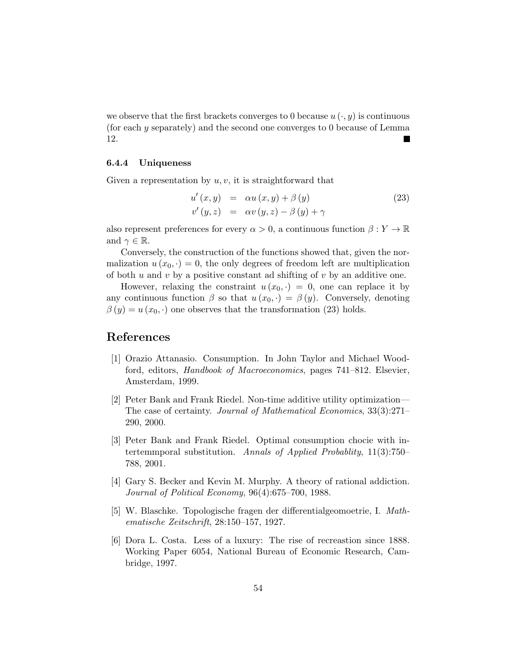we observe that the first brackets converges to 0 because  $u(\cdot, y)$  is continuous (for each y separately) and the second one converges to 0 because of Lemma 12.

## 6.4.4 Uniqueness

Given a representation by  $u, v$ , it is straightforward that

$$
u'(x,y) = \alpha u(x,y) + \beta(y)
$$
  
\n
$$
v'(y,z) = \alpha v(y,z) - \beta(y) + \gamma
$$
\n(23)

also represent preferences for every  $\alpha > 0$ , a continuous function  $\beta : Y \to \mathbb{R}$ and  $\gamma \in \mathbb{R}$ .

Conversely, the construction of the functions showed that, given the normalization  $u(x_0, \cdot) = 0$ , the only degrees of freedom left are multiplication of both u and v by a positive constant ad shifting of v by an additive one.

However, relaxing the constraint  $u(x_0, \cdot) = 0$ , one can replace it by any continuous function  $\beta$  so that  $u(x_0, \cdot) = \beta(y)$ . Conversely, denoting  $\beta(y) = u(x_0, \cdot)$  one observes that the transformation (23) holds.

## References

- [1] Orazio Attanasio. Consumption. In John Taylor and Michael Woodford, editors, Handbook of Macroeconomics, pages 741–812. Elsevier, Amsterdam, 1999.
- [2] Peter Bank and Frank Riedel. Non-time additive utility optimization— The case of certainty. Journal of Mathematical Economics, 33(3):271– 290, 2000.
- [3] Peter Bank and Frank Riedel. Optimal consumption chocie with intertemmporal substitution. Annals of Applied Probablity, 11(3):750– 788, 2001.
- [4] Gary S. Becker and Kevin M. Murphy. A theory of rational addiction. Journal of Political Economy, 96(4):675–700, 1988.
- [5] W. Blaschke. Topologische fragen der differentialgeomoetrie, I. Mathematische Zeitschrift, 28:150–157, 1927.
- [6] Dora L. Costa. Less of a luxury: The rise of recreastion since 1888. Working Paper 6054, National Bureau of Economic Research, Cambridge, 1997.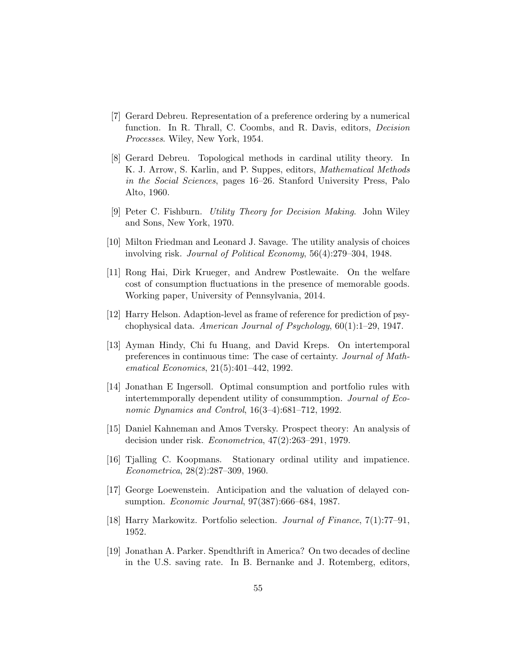- [7] Gerard Debreu. Representation of a preference ordering by a numerical function. In R. Thrall, C. Coombs, and R. Davis, editors, Decision Processes. Wiley, New York, 1954.
- [8] Gerard Debreu. Topological methods in cardinal utility theory. In K. J. Arrow, S. Karlin, and P. Suppes, editors, Mathematical Methods in the Social Sciences, pages 16–26. Stanford University Press, Palo Alto, 1960.
- [9] Peter C. Fishburn. Utility Theory for Decision Making. John Wiley and Sons, New York, 1970.
- [10] Milton Friedman and Leonard J. Savage. The utility analysis of choices involving risk. Journal of Political Economy, 56(4):279–304, 1948.
- [11] Rong Hai, Dirk Krueger, and Andrew Postlewaite. On the welfare cost of consumption fluctuations in the presence of memorable goods. Working paper, University of Pennsylvania, 2014.
- [12] Harry Helson. Adaption-level as frame of reference for prediction of psychophysical data. American Journal of Psychology, 60(1):1–29, 1947.
- [13] Ayman Hindy, Chi fu Huang, and David Kreps. On intertemporal preferences in continuous time: The case of certainty. Journal of Mathematical Economics, 21(5):401–442, 1992.
- [14] Jonathan E Ingersoll. Optimal consumption and portfolio rules with intertemmporally dependent utility of consummption. Journal of Economic Dynamics and Control, 16(3–4):681–712, 1992.
- [15] Daniel Kahneman and Amos Tversky. Prospect theory: An analysis of decision under risk. Econometrica, 47(2):263–291, 1979.
- [16] Tjalling C. Koopmans. Stationary ordinal utility and impatience. Econometrica, 28(2):287–309, 1960.
- [17] George Loewenstein. Anticipation and the valuation of delayed consumption. Economic Journal, 97(387):666–684, 1987.
- [18] Harry Markowitz. Portfolio selection. Journal of Finance, 7(1):77–91, 1952.
- [19] Jonathan A. Parker. Spendthrift in America? On two decades of decline in the U.S. saving rate. In B. Bernanke and J. Rotemberg, editors,